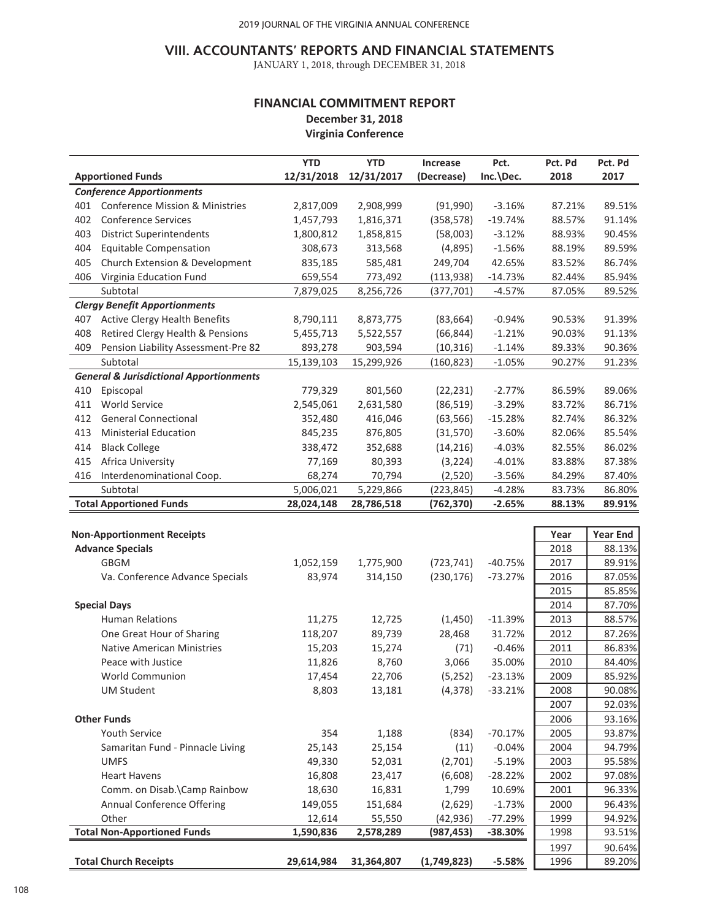### **VIII. ACCOUNTANTS' REPORTS AND FINANCIAL STATEMENTS**

JANUARY 1, 2018, through DECEMBER 31, 2018

### **FINANCIAL COMMITMENT REPORT December 31, 2018 Virginia Conference**

|     |                                                    | <b>YTD</b> | <b>YTD</b> | <b>Increase</b> | Pct.      | Pct. Pd | Pct. Pd         |
|-----|----------------------------------------------------|------------|------------|-----------------|-----------|---------|-----------------|
|     | <b>Apportioned Funds</b>                           | 12/31/2018 | 12/31/2017 | (Decrease)      | Inc.\Dec. | 2018    | 2017            |
|     | <b>Conference Apportionments</b>                   |            |            |                 |           |         |                 |
| 401 | <b>Conference Mission &amp; Ministries</b>         | 2,817,009  | 2,908,999  | (91,990)        | $-3.16%$  | 87.21%  | 89.51%          |
| 402 | <b>Conference Services</b>                         | 1,457,793  | 1,816,371  | (358, 578)      | $-19.74%$ | 88.57%  | 91.14%          |
| 403 | <b>District Superintendents</b>                    | 1,800,812  | 1,858,815  | (58,003)        | $-3.12%$  | 88.93%  | 90.45%          |
| 404 | <b>Equitable Compensation</b>                      | 308,673    | 313,568    | (4,895)         | $-1.56%$  | 88.19%  | 89.59%          |
| 405 | Church Extension & Development                     | 835,185    | 585,481    | 249,704         | 42.65%    | 83.52%  | 86.74%          |
| 406 | Virginia Education Fund                            | 659,554    | 773,492    | (113,938)       | $-14.73%$ | 82.44%  | 85.94%          |
|     | Subtotal                                           | 7,879,025  | 8,256,726  | (377, 701)      | $-4.57%$  | 87.05%  | 89.52%          |
|     | <b>Clergy Benefit Apportionments</b>               |            |            |                 |           |         |                 |
| 407 | <b>Active Clergy Health Benefits</b>               | 8,790,111  | 8,873,775  | (83, 664)       | $-0.94%$  | 90.53%  | 91.39%          |
| 408 | Retired Clergy Health & Pensions                   | 5,455,713  | 5,522,557  | (66, 844)       | $-1.21%$  | 90.03%  | 91.13%          |
| 409 | Pension Liability Assessment-Pre 82                | 893,278    | 903,594    | (10, 316)       | $-1.14%$  | 89.33%  | 90.36%          |
|     | Subtotal                                           | 15,139,103 | 15,299,926 | (160, 823)      | $-1.05%$  | 90.27%  | 91.23%          |
|     | <b>General &amp; Jurisdictional Apportionments</b> |            |            |                 |           |         |                 |
| 410 | Episcopal                                          | 779,329    | 801,560    | (22, 231)       | $-2.77%$  | 86.59%  | 89.06%          |
| 411 | World Service                                      | 2,545,061  | 2,631,580  | (86, 519)       | $-3.29%$  | 83.72%  | 86.71%          |
| 412 | <b>General Connectional</b>                        | 352,480    | 416,046    | (63, 566)       | $-15.28%$ | 82.74%  | 86.32%          |
| 413 | <b>Ministerial Education</b>                       | 845,235    | 876,805    | (31, 570)       | $-3.60%$  | 82.06%  | 85.54%          |
| 414 | <b>Black College</b>                               | 338,472    | 352,688    | (14, 216)       | $-4.03%$  | 82.55%  | 86.02%          |
| 415 | Africa University                                  | 77,169     | 80,393     | (3, 224)        | $-4.01%$  | 83.88%  | 87.38%          |
| 416 | Interdenominational Coop.                          | 68,274     | 70,794     | (2,520)         | $-3.56%$  | 84.29%  | 87.40%          |
|     | Subtotal                                           | 5,006,021  | 5,229,866  | (223, 845)      | $-4.28%$  | 83.73%  | 86.80%          |
|     | <b>Total Apportioned Funds</b>                     | 28,024,148 | 28,786,518 | (762, 370)      | $-2.65%$  | 88.13%  | 89.91%          |
|     |                                                    |            |            |                 |           |         |                 |
|     | <b>Non-Apportionment Receipts</b>                  |            |            |                 |           | Year    | <b>Year End</b> |
|     | <b>Advance Specials</b>                            |            |            |                 |           | 2018    | 88.13%          |
|     | <b>GBGM</b>                                        | 1,052,159  | 1,775,900  | (723, 741)      | $-40.75%$ | 2017    | 89.91%          |
|     | Va. Conference Advance Specials                    | 83,974     | 314,150    | (230, 176)      | $-73.27%$ | 2016    | 87.05%          |
|     |                                                    |            |            |                 |           | 2015    | 85.85%          |
|     | <b>Special Days</b>                                |            |            |                 |           | 2014    | 87.70%          |
|     | <b>Human Relations</b>                             | 11,275     | 12,725     | (1,450)         | $-11.39%$ | 2013    | 88.57%          |
|     | One Great Hour of Sharing                          | 118,207    | 89,739     | 28,468          | 31.72%    | 2012    | 87.26%          |
|     | <b>Native American Ministries</b>                  | 15,203     | 15,274     | (71)            | $-0.46%$  | 2011    | 86.83%          |
|     | Peace with Justice                                 | 11,826     | 8,760      | 3,066           | 35.00%    | 2010    | 84.40%          |
|     | World Communion                                    | 17,454     | 22,706     | (5,252)         | $-23.13%$ | 2009    | 85.92%          |
|     | <b>UM Student</b>                                  | 8,803      | 13,181     | (4, 378)        | $-33.21%$ | 2008    | 90.08%          |
|     |                                                    |            |            |                 |           | 2007    | 92.03%          |
|     | <b>Other Funds</b>                                 |            |            |                 |           | 2006    | 93.16%          |
|     | Youth Service                                      | 354        | 1,188      | (834)           | $-70.17%$ | 2005    | 93.87%          |
|     | Samaritan Fund - Pinnacle Living                   | 25,143     | 25,154     | (11)            | $-0.04%$  | 2004    | 94.79%          |
|     | <b>UMFS</b>                                        | 49,330     | 52,031     | (2,701)         | $-5.19%$  | 2003    | 95.58%          |
|     | <b>Heart Havens</b>                                | 16,808     | 23,417     | (6,608)         | $-28.22%$ | 2002    | 97.08%          |
|     | Comm. on Disab.\Camp Rainbow                       | 18,630     | 16,831     | 1,799           |           |         |                 |
|     | Annual Conference Offering                         |            | 151,684    |                 | 10.69%    | 2001    | 96.33%          |
|     | Other                                              | 149,055    |            | (2,629)         | $-1.73%$  | 2000    | 96.43%          |
|     | <b>Total Non-Apportioned Funds</b>                 | 12,614     | 55,550     | (42, 936)       | -77.29%   | 1999    | 94.92%          |
|     |                                                    | 1,590,836  | 2,578,289  | (987, 453)      | $-38.30%$ | 1998    | 93.51%          |
|     |                                                    |            |            |                 |           | 1997    | 90.64%          |
|     | <b>Total Church Receipts</b>                       | 29,614,984 | 31,364,807 | (1,749,823)     | $-5.58%$  | 1996    | 89.20%          |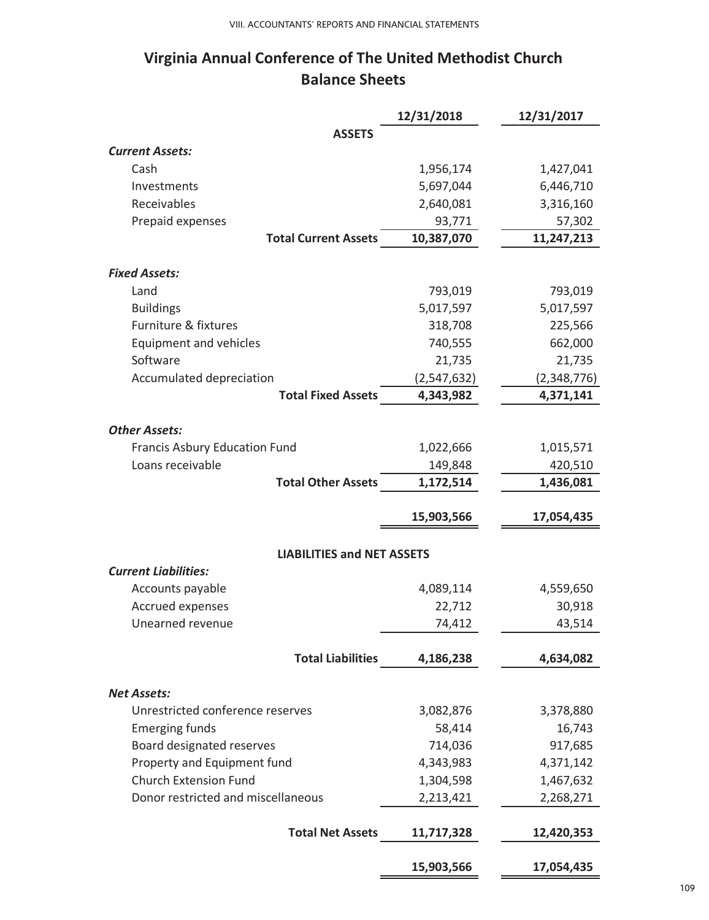# **Virginia Annual Conference of The United Methodist Church Balance Sheets**

|                                             | 12/31/2018  | 12/31/2017  |
|---------------------------------------------|-------------|-------------|
| <b>ASSETS</b>                               |             |             |
| <b>Current Assets:</b>                      |             |             |
| Cash                                        | 1,956,174   | 1,427,041   |
| Investments                                 | 5,697,044   | 6,446,710   |
| Receivables                                 | 2,640,081   | 3,316,160   |
| Prepaid expenses                            | 93,771      | 57,302      |
| <b>Total Current Assets</b>                 | 10,387,070  | 11,247,213  |
| <b>Fixed Assets:</b>                        |             |             |
| Land                                        | 793,019     | 793,019     |
| <b>Buildings</b>                            | 5,017,597   | 5,017,597   |
| Furniture & fixtures                        | 318,708     | 225,566     |
| <b>Equipment and vehicles</b>               | 740,555     | 662,000     |
| Software                                    | 21,735      | 21,735      |
| Accumulated depreciation                    | (2,547,632) | (2,348,776) |
| <b>Total Fixed Assets</b>                   | 4,343,982   | 4,371,141   |
|                                             |             |             |
| <b>Other Assets:</b>                        |             |             |
| <b>Francis Asbury Education Fund</b>        | 1,022,666   | 1,015,571   |
| Loans receivable                            | 149,848     | 420,510     |
| <b>Total Other Assets</b>                   | 1,172,514   | 1,436,081   |
|                                             |             |             |
|                                             | 15,903,566  | 17,054,435  |
|                                             |             |             |
| <b>LIABILITIES and NET ASSETS</b>           |             |             |
| <b>Current Liabilities:</b>                 |             |             |
| Accounts payable<br><b>Accrued expenses</b> | 4,089,114   | 4,559,650   |
| Unearned revenue                            | 22,712      | 30,918      |
|                                             | 74,412      | 43,514      |
| <b>Total Liabilities</b>                    | 4,186,238   | 4,634,082   |
|                                             |             |             |
| <b>Net Assets:</b>                          |             |             |
| Unrestricted conference reserves            | 3,082,876   | 3,378,880   |
| <b>Emerging funds</b>                       | 58,414      | 16,743      |
| Board designated reserves                   | 714,036     | 917,685     |
| Property and Equipment fund                 | 4,343,983   | 4,371,142   |
| <b>Church Extension Fund</b>                | 1,304,598   | 1,467,632   |
| Donor restricted and miscellaneous          | 2,213,421   | 2,268,271   |
|                                             |             |             |
| <b>Total Net Assets</b>                     | 11,717,328  | 12,420,353  |
|                                             | 15,903,566  | 17,054,435  |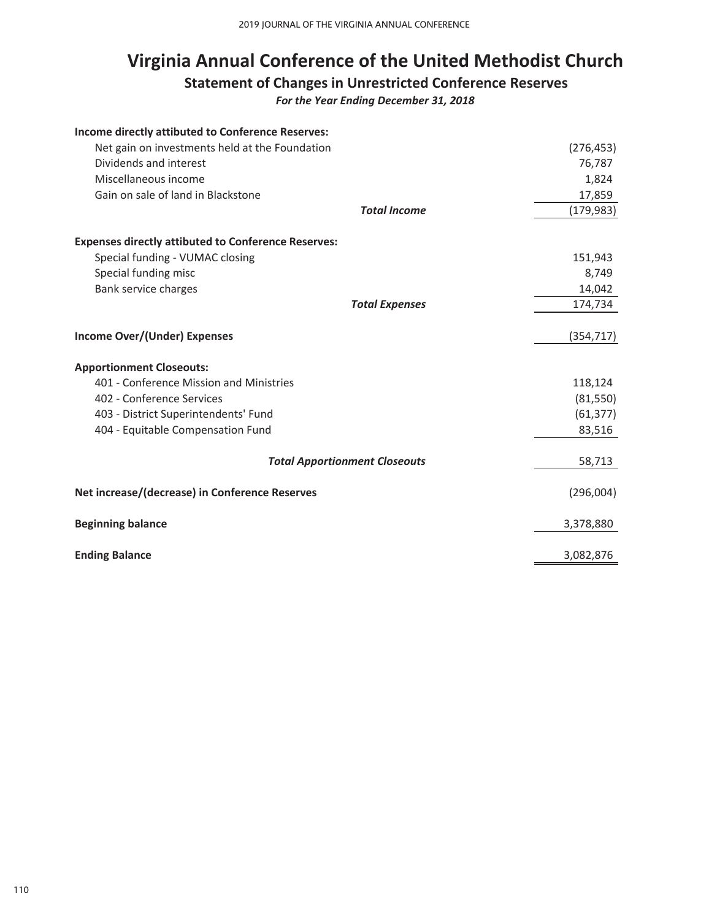# **Virginia Annual Conference of the United Methodist Church**

# **Statement of Changes in Unrestricted Conference Reserves**

*For the Year Ending December 31, 2018*

| Income directly attibuted to Conference Reserves:          |                                      |            |
|------------------------------------------------------------|--------------------------------------|------------|
| Net gain on investments held at the Foundation             |                                      | (276, 453) |
| Dividends and interest                                     |                                      | 76,787     |
| Miscellaneous income                                       |                                      | 1,824      |
| Gain on sale of land in Blackstone                         |                                      | 17,859     |
|                                                            | <b>Total Income</b>                  | (179, 983) |
| <b>Expenses directly attibuted to Conference Reserves:</b> |                                      |            |
| Special funding - VUMAC closing                            |                                      | 151,943    |
| Special funding misc                                       |                                      | 8,749      |
| Bank service charges                                       |                                      | 14,042     |
|                                                            | <b>Total Expenses</b>                | 174,734    |
| <b>Income Over/(Under) Expenses</b>                        |                                      | (354, 717) |
| <b>Apportionment Closeouts:</b>                            |                                      |            |
| 401 - Conference Mission and Ministries                    |                                      | 118,124    |
| 402 - Conference Services                                  |                                      | (81, 550)  |
| 403 - District Superintendents' Fund                       |                                      | (61, 377)  |
| 404 - Equitable Compensation Fund                          |                                      | 83,516     |
|                                                            | <b>Total Apportionment Closeouts</b> | 58,713     |
| Net increase/(decrease) in Conference Reserves             |                                      | (296,004)  |
| <b>Beginning balance</b>                                   |                                      | 3,378,880  |
| <b>Ending Balance</b>                                      |                                      | 3,082,876  |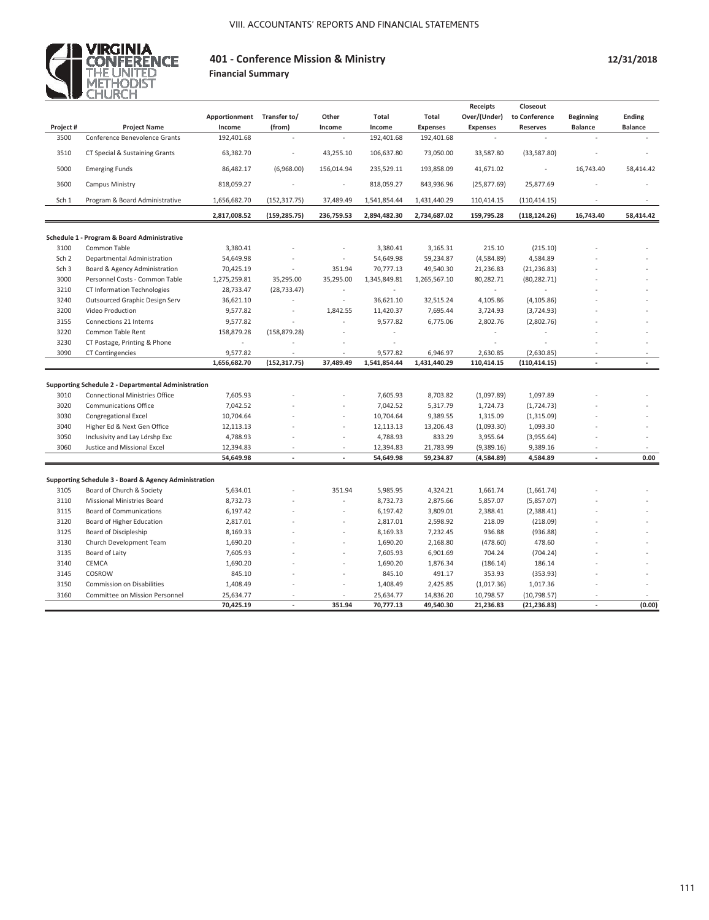

#### **401 - Conference Mission & Ministry Financial Summary**

|                  |                                                       |               |               |            |              |                 | <b>Receipts</b> | Closeout        |                  |                |
|------------------|-------------------------------------------------------|---------------|---------------|------------|--------------|-----------------|-----------------|-----------------|------------------|----------------|
|                  |                                                       | Apportionment | Transfer to/  | Other      | Total        | Total           | Over/(Under)    | to Conference   | <b>Beginning</b> | <b>Ending</b>  |
| Project #        | <b>Project Name</b>                                   | Income        | (from)        | Income     | Income       | <b>Expenses</b> | <b>Expenses</b> | <b>Reserves</b> | <b>Balance</b>   | <b>Balance</b> |
| 3500             | Conference Benevolence Grants                         | 192,401.68    |               |            | 192,401.68   | 192,401.68      | ÷               | ×.              |                  |                |
| 3510             | CT Special & Sustaining Grants                        | 63,382.70     |               | 43,255.10  | 106,637.80   | 73,050.00       | 33,587.80       | (33,587.80)     |                  |                |
| 5000             | <b>Emerging Funds</b>                                 | 86,482.17     | (6,968.00)    | 156,014.94 | 235,529.11   | 193,858.09      | 41,671.02       |                 | 16,743.40        | 58,414.42      |
| 3600             | Campus Ministry                                       | 818,059.27    |               |            | 818,059.27   | 843,936.96      | (25,877.69)     | 25,877.69       |                  |                |
| Sch 1            | Program & Board Administrative                        | 1,656,682.70  | (152, 317.75) | 37,489.49  | 1,541,854.44 | 1,431,440.29    | 110,414.15      | (110, 414.15)   |                  |                |
|                  |                                                       | 2,817,008.52  | (159, 285.75) | 236,759.53 | 2,894,482.30 | 2,734,687.02    | 159,795.28      | (118, 124.26)   | 16,743.40        | 58,414.42      |
|                  | Schedule 1 - Program & Board Administrative           |               |               |            |              |                 |                 |                 |                  |                |
| 3100             | Common Table                                          | 3,380.41      |               |            | 3,380.41     | 3,165.31        | 215.10          | (215.10)        |                  |                |
| Sch <sub>2</sub> | Departmental Administration                           | 54,649.98     |               |            | 54,649.98    | 59,234.87       | (4,584.89)      | 4,584.89        |                  |                |
| Sch <sub>3</sub> | Board & Agency Administration                         | 70,425.19     |               | 351.94     | 70,777.13    | 49,540.30       | 21,236.83       | (21, 236.83)    |                  |                |
| 3000             | Personnel Costs - Common Table                        | 1,275,259.81  | 35,295.00     | 35,295.00  | 1,345,849.81 | 1,265,567.10    | 80,282.71       | (80, 282.71)    |                  |                |
| 3210             | CT Information Technologies                           | 28,733.47     | (28, 733.47)  |            |              |                 |                 |                 |                  |                |
| 3240             | Outsourced Graphic Design Serv                        | 36,621.10     |               | ä,         | 36,621.10    | 32,515.24       | 4,105.86        | (4, 105.86)     |                  |                |
| 3200             | Video Production                                      | 9,577.82      |               | 1,842.55   | 11,420.37    | 7,695.44        | 3,724.93        | (3,724.93)      |                  |                |
| 3155             | Connections 21 Interns                                | 9,577.82      |               |            | 9,577.82     | 6,775.06        | 2,802.76        | (2,802.76)      |                  |                |
|                  |                                                       |               |               |            |              |                 |                 |                 |                  |                |
| 3220             | Common Table Rent                                     | 158,879.28    | (158, 879.28) |            |              |                 |                 |                 |                  |                |
| 3230             | CT Postage, Printing & Phone                          |               |               |            |              |                 |                 |                 |                  |                |
| 3090             | <b>CT Contingencies</b>                               | 9,577.82      |               |            | 9,577.82     | 6,946.97        | 2,630.85        | (2,630.85)      |                  |                |
|                  |                                                       | 1,656,682.70  | (152, 317.75) | 37,489.49  | 1,541,854.44 | 1,431,440.29    | 110,414.15      | (110, 414.15)   | ÷.               |                |
|                  |                                                       |               |               |            |              |                 |                 |                 |                  |                |
|                  | Supporting Schedule 2 - Departmental Administration   |               |               |            |              |                 |                 |                 |                  |                |
| 3010             | <b>Connectional Ministries Office</b>                 | 7,605.93      |               |            | 7,605.93     | 8,703.82        | (1,097.89)      | 1,097.89        |                  |                |
| 3020             | <b>Communications Office</b>                          | 7,042.52      |               |            | 7,042.52     | 5,317.79        | 1,724.73        | (1,724.73)      |                  |                |
| 3030             | Congregational Excel                                  | 10,704.64     |               |            | 10,704.64    | 9,389.55        | 1,315.09        | (1,315.09)      |                  |                |
| 3040             | Higher Ed & Next Gen Office                           | 12,113.13     |               |            | 12,113.13    | 13,206.43       | (1,093.30)      | 1,093.30        |                  |                |
| 3050             | Inclusivity and Lay Ldrshp Exc                        | 4,788.93      |               |            | 4,788.93     | 833.29          | 3,955.64        | (3,955.64)      |                  |                |
| 3060             | Justice and Missional Excel                           | 12,394.83     |               |            | 12,394.83    | 21,783.99       | (9,389.16)      | 9,389.16        |                  |                |
|                  |                                                       | 54,649.98     | ÷,            | ÷,         | 54,649.98    | 59,234.87       | (4,584.89)      | 4,584.89        | ÷,               | 0.00           |
|                  |                                                       |               |               |            |              |                 |                 |                 |                  |                |
|                  | Supporting Schedule 3 - Board & Agency Administration |               |               |            |              |                 |                 |                 |                  |                |
| 3105             | Board of Church & Society                             | 5,634.01      |               | 351.94     | 5,985.95     | 4,324.21        | 1,661.74        | (1,661.74)      |                  |                |
| 3110             | <b>Missional Ministries Board</b>                     | 8,732.73      |               |            | 8,732.73     | 2,875.66        | 5,857.07        | (5,857.07)      |                  |                |
| 3115             | <b>Board of Communications</b>                        | 6,197.42      |               |            | 6,197.42     | 3,809.01        | 2,388.41        | (2,388.41)      |                  |                |
| 3120             | Board of Higher Education                             | 2,817.01      |               |            | 2,817.01     | 2,598.92        | 218.09          | (218.09)        |                  |                |
| 3125             | Board of Discipleship                                 | 8,169.33      |               |            | 8,169.33     | 7,232.45        | 936.88          | (936.88)        |                  |                |
| 3130             | Church Development Team                               | 1,690.20      |               |            | 1,690.20     | 2,168.80        | (478.60)        | 478.60          |                  |                |
| 3135             | Board of Laity                                        | 7,605.93      |               |            | 7,605.93     | 6,901.69        | 704.24          | (704.24)        |                  |                |
| 3140             | CEMCA                                                 | 1,690.20      |               |            | 1,690.20     | 1,876.34        | (186.14)        | 186.14          |                  |                |
| 3145             | COSROW                                                | 845.10        |               |            | 845.10       | 491.17          | 353.93          | (353.93)        |                  |                |
| 3150             | <b>Commission on Disabilities</b>                     | 1,408.49      |               |            | 1,408.49     | 2,425.85        | (1,017.36)      | 1,017.36        |                  |                |
| 3160             | Committee on Mission Personnel                        | 25,634.77     |               |            | 25,634.77    | 14,836.20       | 10,798.57       | (10,798.57)     |                  |                |
|                  |                                                       | 70,425.19     | ÷.            | 351.94     | 70,777.13    | 49,540.30       | 21,236.83       | (21, 236.83)    |                  | (0.00)         |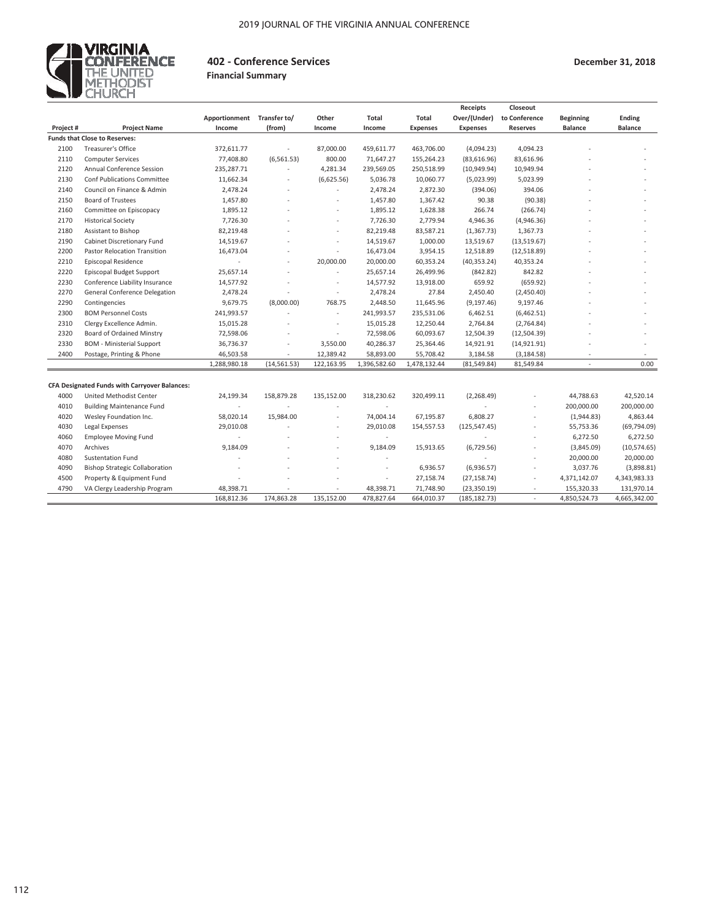

#### **402 - Conference Services**

**December 31, 2018**

#### **Financial Summary**

|           |                                                      |               |              |            |              |                 | <b>Receipts</b> | Closeout        |                  |                |
|-----------|------------------------------------------------------|---------------|--------------|------------|--------------|-----------------|-----------------|-----------------|------------------|----------------|
|           |                                                      | Apportionment | Transfer to/ | Other      | <b>Total</b> | <b>Total</b>    | Over/(Under)    | to Conference   | <b>Beginning</b> | <b>Ending</b>  |
| Project # | <b>Project Name</b>                                  | Income        | (from)       | Income     | Income       | <b>Expenses</b> | <b>Expenses</b> | <b>Reserves</b> | <b>Balance</b>   | <b>Balance</b> |
|           | <b>Funds that Close to Reserves:</b>                 |               |              |            |              |                 |                 |                 |                  |                |
| 2100      | <b>Treasurer's Office</b>                            | 372,611.77    |              | 87,000.00  | 459,611.77   | 463,706.00      | (4,094.23)      | 4,094.23        |                  |                |
| 2110      | <b>Computer Services</b>                             | 77,408.80     | (6, 561.53)  | 800.00     | 71,647.27    | 155,264.23      | (83,616.96)     | 83,616.96       |                  |                |
| 2120      | Annual Conference Session                            | 235,287.71    |              | 4,281.34   | 239,569.05   | 250,518.99      | (10, 949.94)    | 10,949.94       |                  |                |
| 2130      | <b>Conf Publications Committee</b>                   | 11,662.34     |              | (6,625.56) | 5,036.78     | 10,060.77       | (5,023.99)      | 5,023.99        |                  |                |
| 2140      | Council on Finance & Admin                           | 2,478.24      |              |            | 2,478.24     | 2,872.30        | (394.06)        | 394.06          |                  |                |
| 2150      | <b>Board of Trustees</b>                             | 1,457.80      |              |            | 1,457.80     | 1,367.42        | 90.38           | (90.38)         |                  |                |
| 2160      | Committee on Episcopacy                              | 1,895.12      |              |            | 1,895.12     | 1,628.38        | 266.74          | (266.74)        |                  |                |
| 2170      | <b>Historical Society</b>                            | 7,726.30      |              |            | 7,726.30     | 2,779.94        | 4,946.36        | (4,946.36)      |                  |                |
| 2180      | Assistant to Bishop                                  | 82,219.48     |              |            | 82,219.48    | 83,587.21       | (1, 367.73)     | 1,367.73        |                  |                |
| 2190      | Cabinet Discretionary Fund                           | 14,519.67     |              |            | 14,519.67    | 1,000.00        | 13,519.67       | (13,519.67)     |                  |                |
| 2200      | Pastor Relocation Transition                         | 16,473.04     |              |            | 16,473.04    | 3,954.15        | 12,518.89       | (12,518.89)     |                  |                |
| 2210      | <b>Episcopal Residence</b>                           |               |              | 20,000.00  | 20,000.00    | 60,353.24       | (40, 353.24)    | 40,353.24       |                  |                |
| 2220      | Episcopal Budget Support                             | 25,657.14     |              |            | 25,657.14    | 26,499.96       | (842.82)        | 842.82          |                  |                |
| 2230      | Conference Liability Insurance                       | 14,577.92     |              | $\sim$     | 14,577.92    | 13,918.00       | 659.92          | (659.92)        |                  |                |
| 2270      | General Conference Delegation                        | 2,478.24      |              |            | 2,478.24     | 27.84           | 2,450.40        | (2,450.40)      |                  |                |
| 2290      | Contingencies                                        | 9,679.75      | (8,000.00)   | 768.75     | 2,448.50     | 11,645.96       | (9, 197.46)     | 9,197.46        |                  |                |
| 2300      | <b>BOM Personnel Costs</b>                           | 241,993.57    |              |            | 241,993.57   | 235,531.06      | 6,462.51        | (6,462.51)      |                  |                |
| 2310      | Clergy Excellence Admin.                             | 15,015.28     |              | ٠          | 15,015.28    | 12,250.44       | 2,764.84        | (2,764.84)      |                  |                |
| 2320      | <b>Board of Ordained Minstry</b>                     | 72,598.06     |              | $\sim$     | 72,598.06    | 60,093.67       | 12,504.39       | (12,504.39)     |                  |                |
| 2330      | <b>BOM</b> - Ministerial Support                     | 36,736.37     |              | 3,550.00   | 40,286.37    | 25,364.46       | 14,921.91       | (14, 921.91)    |                  |                |
| 2400      | Postage, Printing & Phone                            | 46,503.58     |              | 12,389.42  | 58,893.00    | 55,708.42       | 3,184.58        | (3, 184.58)     |                  |                |
|           |                                                      | 1,288,980.18  | (14, 561.53) | 122,163.95 | 1,396,582.60 | 1,478,132.44    | (81, 549.84)    | 81,549.84       | ÷                | 0.00           |
|           |                                                      |               |              |            |              |                 |                 |                 |                  |                |
|           | <b>CFA Designated Funds with Carryover Balances:</b> |               |              |            |              |                 |                 |                 |                  |                |
| 4000      | United Methodist Center                              | 24,199.34     | 158,879.28   | 135,152.00 | 318,230.62   | 320,499.11      | (2, 268.49)     |                 | 44,788.63        | 42,520.14      |
| 4010      | <b>Building Maintenance Fund</b>                     |               |              |            |              |                 |                 |                 | 200,000.00       | 200,000.00     |
| 4020      | Wesley Foundation Inc.                               | 58,020.14     | 15,984.00    | ٠          | 74,004.14    | 67,195.87       | 6,808.27        |                 | (1,944.83)       | 4,863.44       |
| 4030      | Legal Expenses                                       | 29,010.08     |              |            | 29,010.08    | 154,557.53      | (125, 547.45)   |                 | 55,753.36        | (69, 794.09)   |
| 4060      | <b>Employee Moving Fund</b>                          |               |              |            | $\sim$       |                 |                 |                 | 6,272.50         | 6,272.50       |
| 4070      | Archives                                             | 9,184.09      |              |            | 9,184.09     | 15,913.65       | (6,729.56)      |                 | (3,845.09)       | (10,574.65)    |
| 4080      | <b>Sustentation Fund</b>                             |               |              |            |              |                 |                 | ä,              | 20,000.00        | 20,000.00      |
| 4090      | <b>Bishop Strategic Collaboration</b>                |               |              |            | $\sim$       | 6,936.57        | (6,936.57)      | ٠               | 3,037.76         | (3,898.81)     |
| 4500      | Property & Equipment Fund                            |               |              |            | $\sim$       | 27,158.74       | (27, 158.74)    | ٠               | 4,371,142.07     | 4,343,983.33   |
| 4790      | VA Clergy Leadership Program                         | 48,398.71     |              |            | 48,398.71    | 71,748.90       | (23, 350.19)    |                 | 155,320.33       | 131,970.14     |
|           |                                                      | 168,812.36    | 174,863.28   | 135,152.00 | 478,827.64   | 664,010.37      | (185, 182.73)   | ÷.              | 4,850,524.73     | 4,665,342.00   |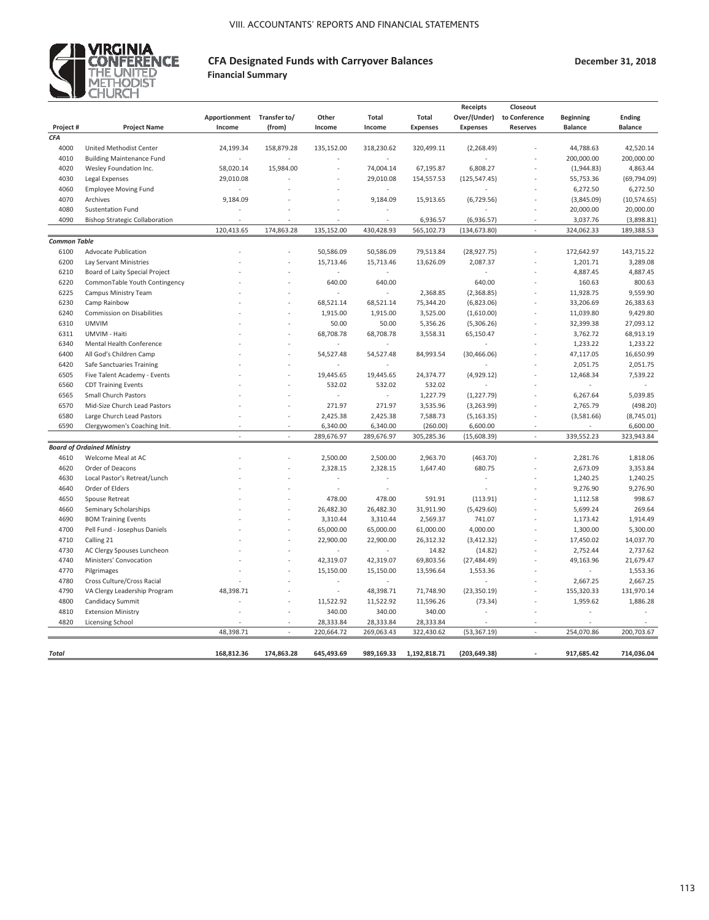

### **CFA Designated Funds with Carryover Balances Financial Summary**

**December 31, 2018**

|                     |                                       |                            |            |            |                          |                 | Receipts        | Closeout        |                  |                |
|---------------------|---------------------------------------|----------------------------|------------|------------|--------------------------|-----------------|-----------------|-----------------|------------------|----------------|
|                     |                                       | Apportionment Transfer to/ |            | Other      | <b>Total</b>             | <b>Total</b>    | Over/(Under)    | to Conference   | <b>Beginning</b> | Ending         |
| Project#            | <b>Project Name</b>                   | Income                     | (from)     | Income     | Income                   | <b>Expenses</b> | <b>Expenses</b> | <b>Reserves</b> | <b>Balance</b>   | <b>Balance</b> |
| CFA                 |                                       |                            |            |            |                          |                 |                 |                 |                  |                |
| 4000                | United Methodist Center               | 24,199.34                  | 158,879.28 | 135,152.00 | 318,230.62               | 320,499.11      | (2, 268.49)     |                 | 44,788.63        | 42,520.14      |
| 4010                | <b>Building Maintenance Fund</b>      |                            |            |            |                          |                 |                 |                 | 200,000.00       | 200,000.00     |
| 4020                | Wesley Foundation Inc.                | 58,020.14                  | 15,984.00  |            | 74,004.14                | 67,195.87       | 6,808.27        |                 | (1,944.83)       | 4,863.44       |
| 4030                | Legal Expenses                        | 29,010.08                  |            |            | 29,010.08                | 154,557.53      | (125, 547.45)   |                 | 55,753.36        | (69, 794.09)   |
| 4060                | <b>Employee Moving Fund</b>           |                            |            |            |                          |                 |                 |                 | 6,272.50         | 6,272.50       |
| 4070                | Archives                              | 9,184.09                   |            |            | 9,184.09                 | 15,913.65       | (6,729.56)      |                 | (3,845.09)       | (10, 574.65)   |
| 4080                | Sustentation Fund                     |                            |            |            |                          |                 |                 |                 | 20,000.00        | 20,000.00      |
| 4090                | <b>Bishop Strategic Collaboration</b> |                            |            |            |                          | 6,936.57        | (6,936.57)      |                 | 3,037.76         | (3,898.81)     |
|                     |                                       | 120,413.65                 | 174,863.28 | 135,152.00 | 430,428.93               | 565,102.73      | (134, 673.80)   | ÷,              | 324,062.33       | 189,388.53     |
| <b>Common Table</b> |                                       |                            |            |            |                          |                 |                 |                 |                  |                |
| 6100                | <b>Advocate Publication</b>           |                            |            | 50,586.09  | 50,586.09                | 79,513.84       | (28, 927.75)    |                 | 172,642.97       | 143,715.22     |
| 6200                | Lay Servant Ministries                |                            |            | 15,713.46  | 15,713.46                | 13,626.09       | 2,087.37        |                 | 1,201.71         | 3,289.08       |
| 6210                | Board of Laity Special Project        |                            |            | ä,         | ä,                       |                 |                 |                 | 4,887.45         | 4,887.45       |
| 6220                |                                       |                            |            | 640.00     | 640.00                   |                 | 640.00          |                 | 160.63           | 800.63         |
|                     | CommonTable Youth Contingency         |                            |            |            |                          |                 |                 |                 |                  |                |
| 6225                | Campus Ministry Team                  |                            |            |            |                          | 2,368.85        | (2,368.85)      |                 | 11,928.75        | 9,559.90       |
| 6230                | Camp Rainbow                          |                            |            | 68,521.14  | 68,521.14                | 75,344.20       | (6,823.06)      |                 | 33,206.69        | 26,383.63      |
| 6240                | Commission on Disabilities            |                            |            | 1,915.00   | 1,915.00                 | 3,525.00        | (1,610.00)      |                 | 11,039.80        | 9,429.80       |
| 6310                | <b>UMVIM</b>                          |                            |            | 50.00      | 50.00                    | 5,356.26        | (5,306.26)      |                 | 32,399.38        | 27,093.12      |
| 6311                | UMVIM - Haiti                         |                            |            | 68,708.78  | 68,708.78                | 3,558.31        | 65,150.47       |                 | 3,762.72         | 68,913.19      |
| 6340                | Mental Health Conference              |                            |            |            |                          |                 |                 |                 | 1,233.22         | 1,233.22       |
| 6400                | All God's Children Camp               |                            |            | 54,527.48  | 54,527.48                | 84,993.54       | (30, 466.06)    |                 | 47,117.05        | 16,650.99      |
| 6420                | Safe Sanctuaries Training             |                            |            |            |                          |                 |                 |                 | 2,051.75         | 2,051.75       |
| 6505                | Five Talent Academy - Events          |                            |            | 19,445.65  | 19,445.65                | 24,374.77       | (4,929.12)      |                 | 12,468.34        | 7,539.22       |
| 6560                | <b>CDT Training Events</b>            |                            |            | 532.02     | 532.02                   | 532.02          |                 |                 | ÷,               | ä,             |
| 6565                | <b>Small Church Pastors</b>           |                            |            |            |                          | 1,227.79        | (1, 227.79)     |                 | 6,267.64         | 5,039.85       |
| 6570                | Mid-Size Church Lead Pastors          |                            |            | 271.97     | 271.97                   | 3,535.96        | (3,263.99)      |                 | 2,765.79         | (498.20)       |
| 6580                | Large Church Lead Pastors             |                            |            | 2,425.38   | 2,425.38                 | 7,588.73        | (5, 163.35)     |                 | (3,581.66)       | (8,745.01)     |
| 6590                | Clergywomen's Coaching Init.          |                            |            | 6,340.00   | 6,340.00                 | (260.00)        | 6,600.00        |                 |                  | 6,600.00       |
|                     |                                       |                            | i,         | 289,676.97 | 289,676.97               | 305,285.36      | (15,608.39)     |                 | 339,552.23       | 323,943.84     |
|                     | <b>Board of Ordained Ministry</b>     |                            |            |            |                          |                 |                 |                 |                  |                |
| 4610                | Welcome Meal at AC                    |                            |            | 2,500.00   | 2,500.00                 | 2,963.70        | (463.70)        |                 | 2,281.76         | 1,818.06       |
| 4620                | Order of Deacons                      |                            |            | 2,328.15   | 2,328.15                 | 1,647.40        | 680.75          |                 | 2,673.09         | 3,353.84       |
| 4630                | Local Pastor's Retreat/Lunch          |                            |            |            |                          |                 |                 |                 | 1,240.25         | 1,240.25       |
| 4640                | Order of Elders                       |                            |            | ä,         |                          |                 |                 |                 | 9,276.90         | 9,276.90       |
| 4650                | Spouse Retreat                        |                            |            | 478.00     | 478.00                   | 591.91          | (113.91)        |                 | 1,112.58         | 998.67         |
| 4660                | Seminary Scholarships                 |                            |            | 26,482.30  | 26,482.30                | 31,911.90       | (5,429.60)      |                 | 5,699.24         | 269.64         |
| 4690                | <b>BOM Training Events</b>            |                            | í,         | 3,310.44   | 3,310.44                 | 2,569.37        | 741.07          |                 | 1,173.42         | 1,914.49       |
| 4700                | Pell Fund - Josephus Daniels          |                            |            | 65,000.00  | 65,000.00                | 61,000.00       | 4,000.00        |                 | 1,300.00         | 5,300.00       |
| 4710                | Calling 21                            |                            |            | 22,900.00  | 22,900.00                | 26,312.32       | (3,412.32)      |                 | 17,450.02        | 14,037.70      |
| 4730                | AC Clergy Spouses Luncheon            |                            |            | ÷,         | $\overline{\phantom{a}}$ | 14.82           | (14.82)         |                 | 2,752.44         | 2,737.62       |
| 4740                | Ministers' Convocation                |                            |            | 42,319.07  | 42,319.07                | 69,803.56       | (27, 484.49)    |                 | 49,163.96        | 21,679.47      |
| 4770                | Pilgrimages                           |                            |            | 15,150.00  | 15,150.00                | 13,596.64       | 1,553.36        |                 | ä,               | 1,553.36       |
| 4780                | Cross Culture/Cross Racial            |                            |            | ä,         | ÷,                       |                 |                 |                 | 2,667.25         | 2,667.25       |
| 4790                | VA Clergy Leadership Program          | 48,398.71                  |            | ä,         | 48,398.71                | 71,748.90       | (23, 350.19)    |                 | 155,320.33       | 131,970.14     |
| 4800                | Candidacy Summit                      |                            |            | 11,522.92  | 11,522.92                | 11,596.26       | (73.34)         |                 | 1,959.62         | 1,886.28       |
| 4810                | <b>Extension Ministry</b>             |                            |            | 340.00     | 340.00                   | 340.00          |                 |                 |                  |                |
| 4820                | Licensing School                      |                            |            | 28,333.84  | 28,333.84                | 28,333.84       |                 |                 | ÷                |                |
|                     |                                       | 48,398.71                  | ÷,         | 220,664.72 | 269,063.43               | 322,430.62      | (53, 367.19)    | ÷,              | 254,070.86       | 200,703.67     |
|                     |                                       |                            |            |            |                          |                 |                 |                 |                  |                |
| Total               |                                       | 168,812.36                 | 174,863.28 | 645.493.69 | 989,169.33               | 1,192,818.71    | (203, 649.38)   |                 | 917,685.42       | 714,036.04     |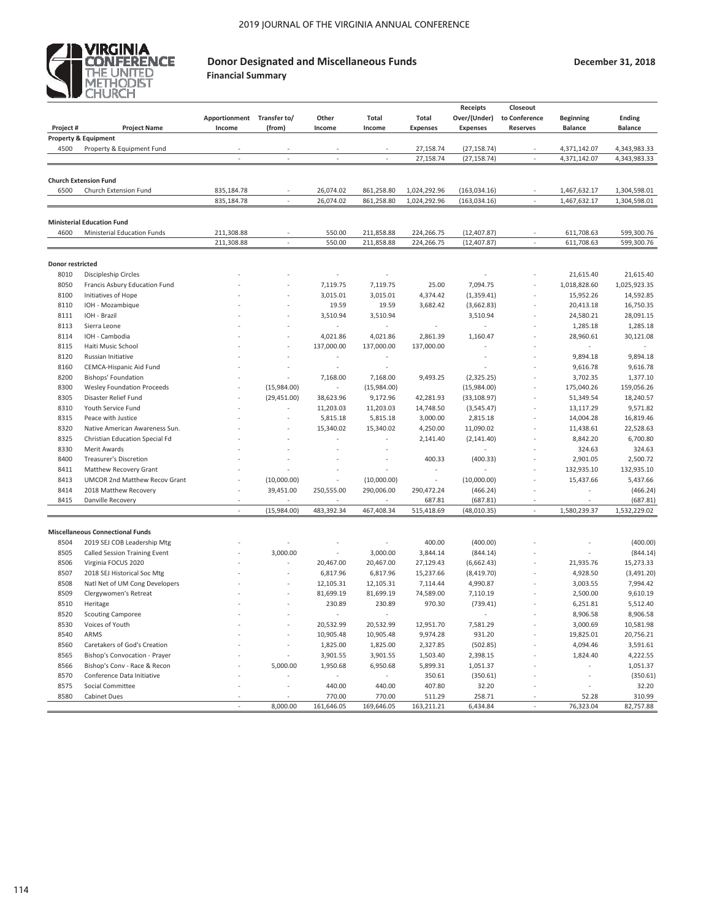

# **Donor Designated and Miscellaneous Funds**

**Financial Summary**

**December 31, 2018**

|                  |                                         |                            |              |            |                          |                 | <b>Receipts</b> | Closeout        |                  |                |
|------------------|-----------------------------------------|----------------------------|--------------|------------|--------------------------|-----------------|-----------------|-----------------|------------------|----------------|
|                  |                                         | Apportionment Transfer to/ |              | Other      | Total                    | <b>Total</b>    | Over/(Under)    | to Conference   | <b>Beginning</b> | <b>Ending</b>  |
| Project#         | <b>Project Name</b>                     | Income                     | (from)       | Income     | Income                   | <b>Expenses</b> | <b>Expenses</b> | <b>Reserves</b> | <b>Balance</b>   | <b>Balance</b> |
|                  | <b>Property &amp; Equipment</b>         |                            |              |            |                          |                 |                 |                 |                  |                |
| 4500             | Property & Equipment Fund               |                            |              |            |                          | 27,158.74       | (27, 158.74)    |                 | 4,371,142.07     | 4,343,983.33   |
|                  |                                         |                            |              |            |                          | 27,158.74       | (27, 158.74)    |                 | 4,371,142.07     | 4,343,983.33   |
|                  |                                         |                            |              |            |                          |                 |                 |                 |                  |                |
|                  | <b>Church Extension Fund</b>            |                            |              |            |                          |                 |                 |                 |                  |                |
| 6500             | Church Extension Fund                   | 835,184.78                 |              | 26,074.02  | 861,258.80               | 1,024,292.96    | (163, 034.16)   |                 | 1,467,632.17     | 1,304,598.01   |
|                  |                                         | 835,184.78                 |              | 26,074.02  | 861,258.80               | 1,024,292.96    | (163, 034.16)   |                 | 1,467,632.17     | 1,304,598.01   |
|                  |                                         |                            |              |            |                          |                 |                 |                 |                  |                |
|                  | <b>Ministerial Education Fund</b>       |                            |              |            |                          |                 |                 |                 |                  |                |
| 4600             | Ministerial Education Funds             | 211,308.88                 |              | 550.00     | 211,858.88               | 224,266.75      | (12, 407.87)    |                 | 611,708.63       | 599,300.76     |
|                  |                                         | 211,308.88                 |              | 550.00     | 211,858.88               | 224,266.75      | (12, 407.87)    |                 | 611,708.63       | 599,300.76     |
|                  |                                         |                            |              |            |                          |                 |                 |                 |                  |                |
| Donor restricted |                                         |                            |              |            |                          |                 |                 |                 |                  |                |
| 8010             | Discipleship Circles                    |                            |              |            |                          |                 |                 |                 | 21,615.40        | 21,615.40      |
| 8050             | Francis Asbury Education Fund           |                            |              | 7,119.75   | 7,119.75                 | 25.00           | 7,094.75        |                 | 1,018,828.60     | 1,025,923.35   |
| 8100             | Initiatives of Hope                     |                            |              | 3,015.01   | 3,015.01                 | 4,374.42        | (1, 359.41)     |                 | 15,952.26        | 14,592.85      |
| 8110             | IOH - Mozambique                        |                            |              | 19.59      | 19.59                    | 3,682.42        | (3,662.83)      |                 | 20,413.18        | 16,750.35      |
| 8111             | IOH - Brazil                            |                            |              | 3,510.94   | 3,510.94                 |                 | 3,510.94        |                 | 24,580.21        | 28,091.15      |
| 8113             |                                         |                            |              | ÷          | ×.                       |                 |                 |                 |                  |                |
|                  | Sierra Leone                            |                            |              |            |                          |                 |                 |                 | 1,285.18         | 1,285.18       |
| 8114             | IOH - Cambodia                          |                            |              | 4,021.86   | 4,021.86                 | 2,861.39        | 1,160.47        |                 | 28,960.61        | 30,121.08      |
| 8115             | Haiti Music School                      |                            |              | 137,000.00 | 137,000.00               | 137,000.00      |                 |                 |                  |                |
| 8120             | Russian Initiative                      |                            |              |            |                          |                 |                 |                 | 9,894.18         | 9,894.18       |
| 8160             | CEMCA-Hispanic Aid Fund                 |                            |              |            |                          |                 |                 |                 | 9,616.78         | 9,616.78       |
| 8200             | <b>Bishops' Foundation</b>              |                            |              | 7,168.00   | 7,168.00                 | 9,493.25        | (2,325.25)      |                 | 3,702.35         | 1,377.10       |
| 8300             | <b>Wesley Foundation Proceeds</b>       |                            | (15,984.00)  | $\sim$     | (15,984.00)              |                 | (15,984.00)     |                 | 175,040.26       | 159,056.26     |
| 8305             | Disaster Relief Fund                    |                            | (29, 451.00) | 38,623.96  | 9,172.96                 | 42,281.93       | (33, 108.97)    |                 | 51,349.54        | 18,240.57      |
| 8310             | Youth Service Fund                      |                            |              | 11,203.03  | 11,203.03                | 14,748.50       | (3,545.47)      |                 | 13,117.29        | 9,571.82       |
| 8315             | Peace with Justice                      |                            |              | 5,815.18   | 5,815.18                 | 3,000.00        | 2,815.18        |                 | 14,004.28        | 16,819.46      |
| 8320             | Native American Awareness Sun.          |                            |              | 15,340.02  | 15,340.02                | 4,250.00        | 11,090.02       |                 | 11,438.61        | 22,528.63      |
| 8325             | Christian Education Special Fd          |                            |              |            |                          | 2,141.40        | (2, 141.40)     |                 | 8,842.20         | 6,700.80       |
| 8330             | Merit Awards                            |                            |              |            |                          |                 |                 |                 | 324.63           | 324.63         |
| 8400             | <b>Treasurer's Discretion</b>           |                            |              |            |                          | 400.33          | (400.33)        |                 | 2,901.05         | 2,500.72       |
| 8411             | Matthew Recovery Grant                  |                            |              |            |                          |                 |                 |                 | 132,935.10       | 132,935.10     |
| 8413             | <b>UMCOR 2nd Matthew Recov Grant</b>    |                            | (10,000.00)  |            | (10,000.00)              | ×               | (10,000.00)     |                 | 15,437.66        | 5,437.66       |
| 8414             | 2018 Matthew Recovery                   |                            | 39,451.00    | 250,555.00 | 290,006.00               | 290,472.24      | (466.24)        |                 |                  | (466.24)       |
| 8415             | Danville Recovery                       |                            |              |            |                          | 687.81          | (687.81)        |                 |                  | (687.81)       |
|                  |                                         | ÷.                         | (15,984.00)  | 483,392.34 | 467,408.34               | 515,418.69      | (48,010.35)     | ÷,              | 1,580,239.37     | 1,532,229.02   |
|                  |                                         |                            |              |            |                          |                 |                 |                 |                  |                |
|                  | <b>Miscellaneous Connectional Funds</b> |                            |              |            |                          |                 |                 |                 |                  |                |
| 8504             | 2019 SEJ COB Leadership Mtg             |                            |              |            |                          | 400.00          | (400.00)        |                 |                  | (400.00)       |
| 8505             | Called Session Training Event           |                            | 3,000.00     | $\sim$     | 3,000.00                 | 3,844.14        |                 |                 |                  |                |
|                  |                                         |                            |              |            |                          |                 | (844.14)        |                 |                  | (844.14)       |
| 8506             | Virginia FOCUS 2020                     |                            |              | 20,467.00  | 20,467.00                | 27,129.43       | (6,662.43)      |                 | 21,935.76        | 15,273.33      |
| 8507             | 2018 SEJ Historical Soc Mtg             |                            |              | 6,817.96   | 6,817.96                 | 15,237.66       | (8,419.70)      |                 | 4,928.50         | (3,491.20)     |
| 8508             | Natl Net of UM Cong Developers          |                            |              | 12,105.31  | 12,105.31                | 7,114.44        | 4,990.87        |                 | 3,003.55         | 7,994.42       |
| 8509             | Clergywomen's Retreat                   |                            |              | 81,699.19  | 81,699.19                | 74,589.00       | 7,110.19        |                 | 2,500.00         | 9,610.19       |
| 8510             | Heritage                                |                            |              | 230.89     | 230.89                   | 970.30          | (739.41)        |                 | 6,251.81         | 5,512.40       |
| 8520             | <b>Scouting Camporee</b>                |                            |              |            |                          |                 |                 |                 | 8,906.58         | 8,906.58       |
| 8530             | Voices of Youth                         |                            |              | 20,532.99  | 20,532.99                | 12,951.70       | 7,581.29        |                 | 3,000.69         | 10,581.98      |
| 8540             | ARMS                                    |                            |              | 10,905.48  | 10,905.48                | 9,974.28        | 931.20          |                 | 19,825.01        | 20,756.21      |
| 8560             | Caretakers of God's Creation            |                            |              | 1,825.00   | 1,825.00                 | 2,327.85        | (502.85)        |                 | 4,094.46         | 3,591.61       |
| 8565             | Bishop's Convocation - Prayer           |                            |              | 3,901.55   | 3,901.55                 | 1,503.40        | 2,398.15        |                 | 1,824.40         | 4,222.55       |
| 8566             | Bishop's Conv - Race & Recon            |                            | 5,000.00     | 1,950.68   | 6,950.68                 | 5,899.31        | 1,051.37        |                 |                  | 1,051.37       |
| 8570             | Conference Data Initiative              |                            |              |            | $\overline{\phantom{a}}$ | 350.61          | (350.61)        |                 |                  | (350.61)       |
| 8575             | Social Committee                        |                            |              | 440.00     | 440.00                   | 407.80          | 32.20           |                 |                  | 32.20          |
| 8580             | <b>Cabinet Dues</b>                     |                            |              | 770.00     | 770.00                   | 511.29          | 258.71          |                 | 52.28            | 310.99         |
|                  |                                         |                            | 8,000.00     | 161,646.05 | 169,646.05               | 163,211.21      | 6,434.84        |                 | 76,323.04        | 82,757.88      |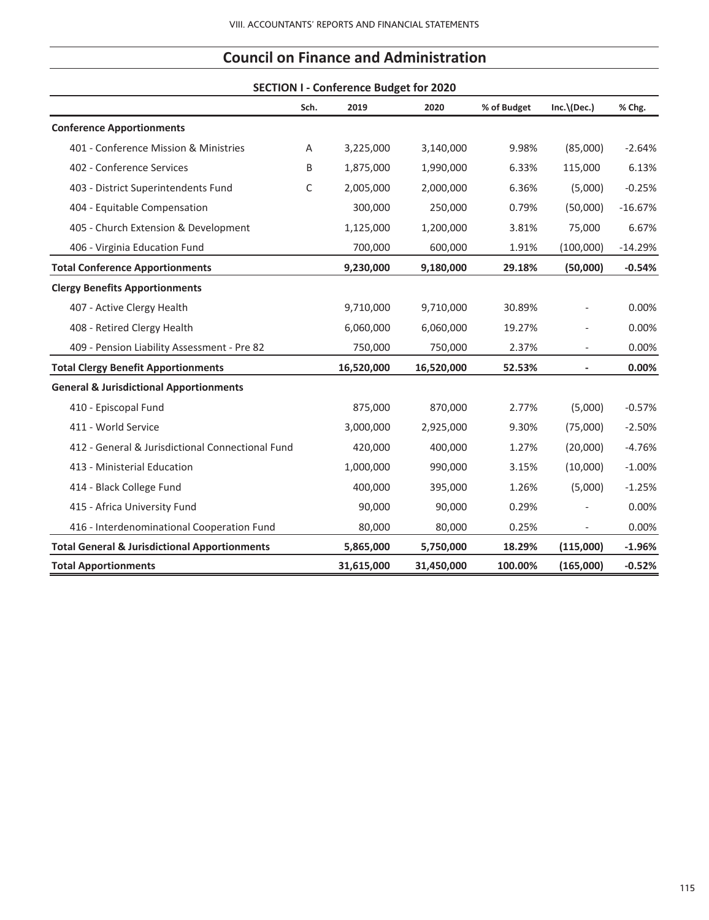|                                                          |      | <b>SECTION I - Conference Budget for 2020</b> |            |             |                         |           |
|----------------------------------------------------------|------|-----------------------------------------------|------------|-------------|-------------------------|-----------|
|                                                          | Sch. | 2019                                          | 2020       | % of Budget | $Inc. \setminus (Dec.)$ | % Chg.    |
| <b>Conference Apportionments</b>                         |      |                                               |            |             |                         |           |
| 401 - Conference Mission & Ministries                    | Α    | 3,225,000                                     | 3,140,000  | 9.98%       | (85,000)                | $-2.64%$  |
| 402 - Conference Services                                | В    | 1,875,000                                     | 1,990,000  | 6.33%       | 115,000                 | 6.13%     |
| 403 - District Superintendents Fund                      | C    | 2,005,000                                     | 2,000,000  | 6.36%       | (5,000)                 | $-0.25%$  |
| 404 - Equitable Compensation                             |      | 300,000                                       | 250,000    | 0.79%       | (50,000)                | $-16.67%$ |
| 405 - Church Extension & Development                     |      | 1,125,000                                     | 1,200,000  | 3.81%       | 75,000                  | 6.67%     |
| 406 - Virginia Education Fund                            |      | 700,000                                       | 600,000    | 1.91%       | (100,000)               | $-14.29%$ |
| <b>Total Conference Apportionments</b>                   |      | 9,230,000                                     | 9,180,000  | 29.18%      | (50,000)                | $-0.54%$  |
| <b>Clergy Benefits Apportionments</b>                    |      |                                               |            |             |                         |           |
| 407 - Active Clergy Health                               |      | 9,710,000                                     | 9,710,000  | 30.89%      |                         | 0.00%     |
| 408 - Retired Clergy Health                              |      | 6,060,000                                     | 6,060,000  | 19.27%      |                         | 0.00%     |
| 409 - Pension Liability Assessment - Pre 82              |      | 750,000                                       | 750,000    | 2.37%       |                         | 0.00%     |
| <b>Total Clergy Benefit Apportionments</b>               |      | 16,520,000                                    | 16,520,000 | 52.53%      |                         | 0.00%     |
| <b>General &amp; Jurisdictional Apportionments</b>       |      |                                               |            |             |                         |           |
| 410 - Episcopal Fund                                     |      | 875,000                                       | 870,000    | 2.77%       | (5,000)                 | $-0.57%$  |
| 411 - World Service                                      |      | 3,000,000                                     | 2,925,000  | 9.30%       | (75,000)                | $-2.50%$  |
| 412 - General & Jurisdictional Connectional Fund         |      | 420,000                                       | 400,000    | 1.27%       | (20,000)                | $-4.76%$  |
| 413 - Ministerial Education                              |      | 1,000,000                                     | 990,000    | 3.15%       | (10,000)                | $-1.00%$  |
| 414 - Black College Fund                                 |      | 400,000                                       | 395,000    | 1.26%       | (5,000)                 | $-1.25%$  |
| 415 - Africa University Fund                             |      | 90,000                                        | 90,000     | 0.29%       |                         | 0.00%     |
| 416 - Interdenominational Cooperation Fund               |      | 80,000                                        | 80,000     | 0.25%       |                         | 0.00%     |
| <b>Total General &amp; Jurisdictional Apportionments</b> |      | 5,865,000                                     | 5,750,000  | 18.29%      | (115,000)               | $-1.96%$  |
| <b>Total Apportionments</b>                              |      | 31,615,000                                    | 31,450,000 | 100.00%     | (165,000)               | $-0.52%$  |

# **Council on Finance and Administration**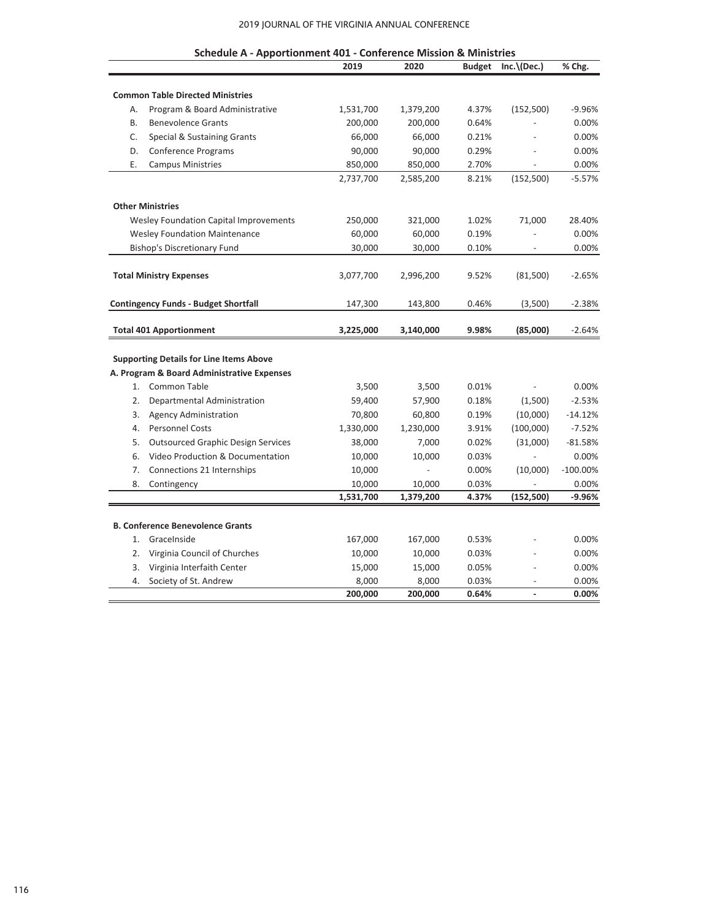#### 2019 JOURNAL OF THE VIRGINIA ANNUAL CONFERENCE

|    | Schedule A - Apportionment 401 - Conference Mission & Ministries |           |           |               |                          |             |
|----|------------------------------------------------------------------|-----------|-----------|---------------|--------------------------|-------------|
|    |                                                                  | 2019      | 2020      | <b>Budget</b> | $Inc. \setminus (Dec.)$  | % Chg.      |
|    |                                                                  |           |           |               |                          |             |
|    | <b>Common Table Directed Ministries</b>                          |           |           |               |                          |             |
| Α. | Program & Board Administrative                                   | 1,531,700 | 1,379,200 | 4.37%         | (152, 500)               | $-9.96%$    |
| B. | <b>Benevolence Grants</b>                                        | 200,000   | 200,000   | 0.64%         |                          | 0.00%       |
| C. | Special & Sustaining Grants                                      | 66,000    | 66,000    | 0.21%         |                          | 0.00%       |
| D. | Conference Programs                                              | 90,000    | 90,000    | 0.29%         |                          | 0.00%       |
| Ε. | <b>Campus Ministries</b>                                         | 850,000   | 850,000   | 2.70%         |                          | 0.00%       |
|    |                                                                  | 2,737,700 | 2,585,200 | 8.21%         | (152, 500)               | $-5.57%$    |
|    | <b>Other Ministries</b>                                          |           |           |               |                          |             |
|    | <b>Wesley Foundation Capital Improvements</b>                    | 250,000   | 321,000   | 1.02%         | 71,000                   | 28.40%      |
|    | <b>Wesley Foundation Maintenance</b>                             | 60,000    | 60,000    | 0.19%         |                          | 0.00%       |
|    | <b>Bishop's Discretionary Fund</b>                               | 30,000    | 30,000    | 0.10%         |                          | 0.00%       |
|    | <b>Total Ministry Expenses</b>                                   | 3,077,700 | 2,996,200 | 9.52%         | (81,500)                 | $-2.65%$    |
|    |                                                                  |           |           |               |                          |             |
|    | <b>Contingency Funds - Budget Shortfall</b>                      | 147,300   | 143,800   | 0.46%         | (3,500)                  | $-2.38%$    |
|    | <b>Total 401 Apportionment</b>                                   | 3,225,000 | 3,140,000 | 9.98%         | (85,000)                 | $-2.64%$    |
|    | <b>Supporting Details for Line Items Above</b>                   |           |           |               |                          |             |
|    | A. Program & Board Administrative Expenses                       |           |           |               |                          |             |
|    | 1. Common Table                                                  | 3,500     | 3,500     | 0.01%         |                          | 0.00%       |
| 2. | Departmental Administration                                      | 59,400    | 57,900    | 0.18%         | (1,500)                  | $-2.53%$    |
| 3. | <b>Agency Administration</b>                                     | 70,800    | 60,800    | 0.19%         | (10,000)                 | $-14.12%$   |
| 4. | <b>Personnel Costs</b>                                           | 1,330,000 | 1,230,000 | 3.91%         | (100,000)                | $-7.52%$    |
| 5. | <b>Outsourced Graphic Design Services</b>                        | 38,000    | 7,000     | 0.02%         | (31,000)                 | $-81.58%$   |
| 6. | Video Production & Documentation                                 | 10,000    | 10,000    | 0.03%         |                          | 0.00%       |
| 7. | Connections 21 Internships                                       | 10,000    |           | 0.00%         | (10,000)                 | $-100.00\%$ |
| 8. | Contingency                                                      | 10,000    | 10,000    | 0.03%         |                          | 0.00%       |
|    |                                                                  | 1,531,700 | 1,379,200 | 4.37%         | (152, 500)               | $-9.96%$    |
|    |                                                                  |           |           |               |                          |             |
|    | <b>B. Conference Benevolence Grants</b>                          |           |           |               |                          |             |
| 1. | GraceInside                                                      | 167,000   | 167,000   | 0.53%         |                          | 0.00%       |
| 2. | Virginia Council of Churches                                     | 10,000    | 10,000    | 0.03%         |                          | 0.00%       |
| 3. | Virginia Interfaith Center                                       | 15,000    | 15,000    | 0.05%         |                          | 0.00%       |
| 4. | Society of St. Andrew                                            | 8,000     | 8,000     | 0.03%         |                          | 0.00%       |
|    |                                                                  | 200,000   | 200,000   | 0.64%         | $\overline{\phantom{a}}$ | 0.00%       |

| hedule A - Annortionment 401 - Conference Mission & Ministrie |  |  |
|---------------------------------------------------------------|--|--|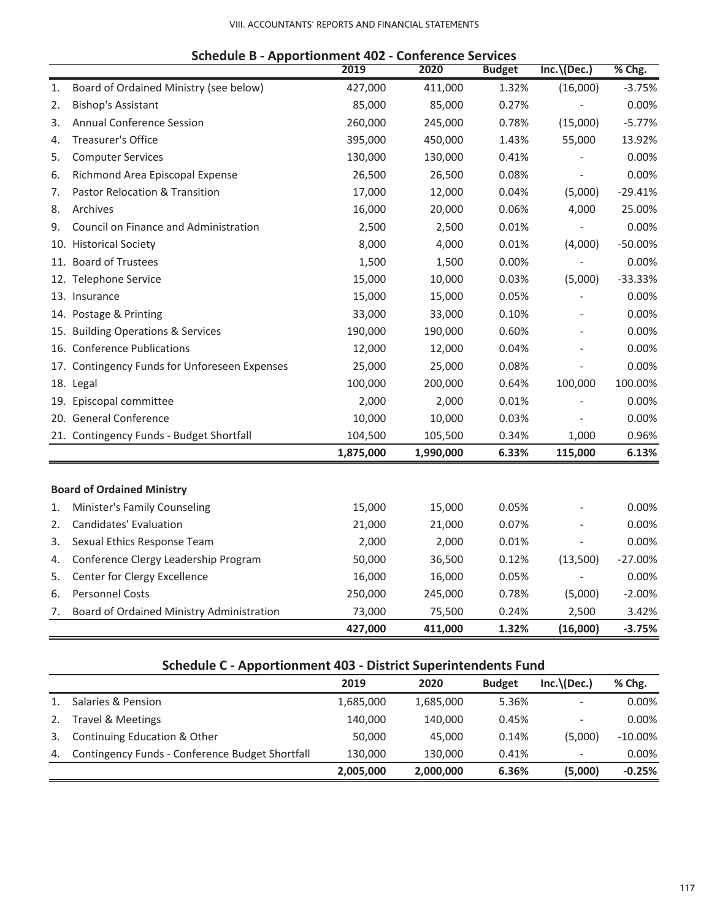### VIII. ACCOUNTANTS' REPORTS AND FINANCIAL STATEMENTS

|    |                                               | 2019      | 2020      | <b>Budget</b> | $Inc. \setminus (Dec.)$ | % Chg.    |
|----|-----------------------------------------------|-----------|-----------|---------------|-------------------------|-----------|
| 1. | Board of Ordained Ministry (see below)        | 427,000   | 411,000   | 1.32%         | (16,000)                | $-3.75%$  |
| 2. | <b>Bishop's Assistant</b>                     | 85,000    | 85,000    | 0.27%         |                         | 0.00%     |
| 3. | <b>Annual Conference Session</b>              | 260,000   | 245,000   | 0.78%         | (15,000)                | $-5.77%$  |
| 4. | Treasurer's Office                            | 395,000   | 450,000   | 1.43%         | 55,000                  | 13.92%    |
| 5. | <b>Computer Services</b>                      | 130,000   | 130,000   | 0.41%         |                         | 0.00%     |
| 6. | Richmond Area Episcopal Expense               | 26,500    | 26,500    | 0.08%         |                         | 0.00%     |
| 7. | Pastor Relocation & Transition                | 17,000    | 12,000    | 0.04%         | (5,000)                 | $-29.41%$ |
| 8. | Archives                                      | 16,000    | 20,000    | 0.06%         | 4,000                   | 25.00%    |
| 9. | Council on Finance and Administration         | 2,500     | 2,500     | 0.01%         |                         | 0.00%     |
|    | 10. Historical Society                        | 8,000     | 4,000     | 0.01%         | (4,000)                 | $-50.00%$ |
|    | 11. Board of Trustees                         | 1,500     | 1,500     | 0.00%         |                         | 0.00%     |
|    | 12. Telephone Service                         | 15,000    | 10,000    | 0.03%         | (5,000)                 | $-33.33%$ |
|    | 13. Insurance                                 | 15,000    | 15,000    | 0.05%         |                         | 0.00%     |
|    | 14. Postage & Printing                        | 33,000    | 33,000    | 0.10%         |                         | 0.00%     |
|    | 15. Building Operations & Services            | 190,000   | 190,000   | 0.60%         |                         | 0.00%     |
|    | 16. Conference Publications                   | 12,000    | 12,000    | 0.04%         |                         | 0.00%     |
|    | 17. Contingency Funds for Unforeseen Expenses | 25,000    | 25,000    | 0.08%         |                         | 0.00%     |
|    | 18. Legal                                     | 100,000   | 200,000   | 0.64%         | 100,000                 | 100.00%   |
|    | 19. Episcopal committee                       | 2,000     | 2,000     | 0.01%         |                         | 0.00%     |
|    | 20. General Conference                        | 10,000    | 10,000    | 0.03%         |                         | 0.00%     |
|    | 21. Contingency Funds - Budget Shortfall      | 104,500   | 105,500   | 0.34%         | 1,000                   | 0.96%     |
|    |                                               | 1,875,000 | 1,990,000 | 6.33%         | 115,000                 | 6.13%     |
|    |                                               |           |           |               |                         |           |
|    | <b>Board of Ordained Ministry</b>             |           |           |               |                         |           |
| 1. | Minister's Family Counseling                  | 15,000    | 15,000    | 0.05%         |                         | 0.00%     |
| 2. | Candidates' Evaluation                        | 21,000    | 21,000    | 0.07%         |                         | 0.00%     |
| 3. | Sexual Ethics Response Team                   | 2,000     | 2,000     | 0.01%         |                         | 0.00%     |
| 4. | Conference Clergy Leadership Program          | 50,000    | 36,500    | 0.12%         | (13,500)                | $-27.00%$ |
| 5. | Center for Clergy Excellence                  | 16,000    | 16,000    | 0.05%         |                         | 0.00%     |
| 6. | <b>Personnel Costs</b>                        | 250,000   | 245,000   | 0.78%         | (5,000)                 | $-2.00%$  |
| 7. | Board of Ordained Ministry Administration     | 73,000    | 75,500    | 0.24%         | 2,500                   | 3.42%     |
|    |                                               | 427,000   | 411,000   | 1.32%         | (16,000)                | $-3.75%$  |

### **Schedule B - Apportionment 402 - Conference Services**

# **Schedule C - Apportionment 403 - District Superintendents Fund**

|    |                                                 | 2019      | 2020      | <b>Budget</b> | $Inc. \langle Dec. \rangle$ | % Chg.     |
|----|-------------------------------------------------|-----------|-----------|---------------|-----------------------------|------------|
|    | Salaries & Pension                              | 1,685,000 | 1,685,000 | 5.36%         |                             | $0.00\%$   |
| 2. | <b>Travel &amp; Meetings</b>                    | 140.000   | 140.000   | 0.45%         | $\overline{\phantom{a}}$    | $0.00\%$   |
| 3. | Continuing Education & Other                    | 50,000    | 45.000    | 0.14%         | (5,000)                     | $-10.00\%$ |
| 4. | Contingency Funds - Conference Budget Shortfall | 130,000   | 130,000   | 0.41%         | $\overline{\phantom{a}}$    | $0.00\%$   |
|    |                                                 | 2,005,000 | 2,000,000 | 6.36%         | (5,000)                     | $-0.25%$   |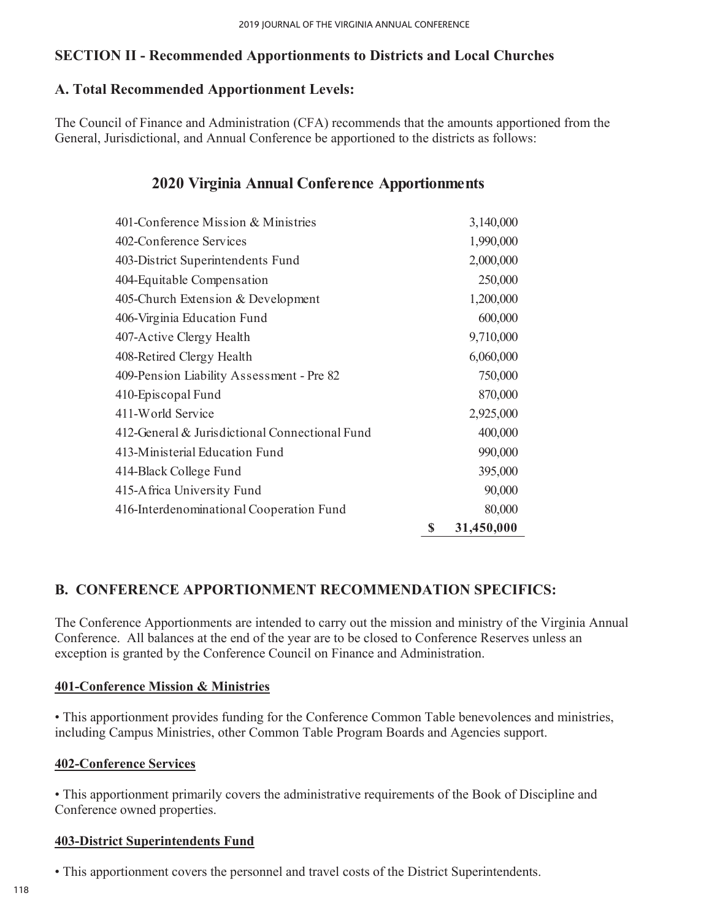# **SECTION II - Recommended Apportionments to Districts and Local Churches**

# **A. Total Recommended Apportionment Levels:**

The Council of Finance and Administration (CFA) recommends that the amounts apportioned from the General, Jurisdictional, and Annual Conference be apportioned to the districts as follows:

# **2020 Virginia Annual Conference Apportionments**

| 401-Conference Mission & Ministries            | 3,140,000        |
|------------------------------------------------|------------------|
| 402-Conference Services                        | 1,990,000        |
| 403-District Superintendents Fund              | 2,000,000        |
| 404-Equitable Compensation                     | 250,000          |
| 405-Church Extension & Development             | 1,200,000        |
| 406-Virginia Education Fund                    | 600,000          |
| 407-Active Clergy Health                       | 9,710,000        |
| 408-Retired Clergy Health                      | 6,060,000        |
| 409-Pension Liability Assessment - Pre 82      | 750,000          |
| 410-Episcopal Fund                             | 870,000          |
| 411-World Service                              | 2,925,000        |
| 412-General & Jurisdictional Connectional Fund | 400,000          |
| 413-Ministerial Education Fund                 | 990,000          |
| 414-Black College Fund                         | 395,000          |
| 415-Africa University Fund                     | 90,000           |
| 416-Interdenominational Cooperation Fund       | 80,000           |
|                                                | \$<br>31,450,000 |

# **B. CONFERENCE APPORTIONMENT RECOMMENDATION SPECIFICS:**

The Conference Apportionments are intended to carry out the mission and ministry of the Virginia Annual Conference. All balances at the end of the year are to be closed to Conference Reserves unless an exception is granted by the Conference Council on Finance and Administration.

# **401-Conference Mission & Ministries**

• This apportionment provides funding for the Conference Common Table benevolences and ministries, including Campus Ministries, other Common Table Program Boards and Agencies support.

# **402-Conference Services**

• This apportionment primarily covers the administrative requirements of the Book of Discipline and Conference owned properties.

### **403-District Superintendents Fund**

• This apportionment covers the personnel and travel costs of the District Superintendents.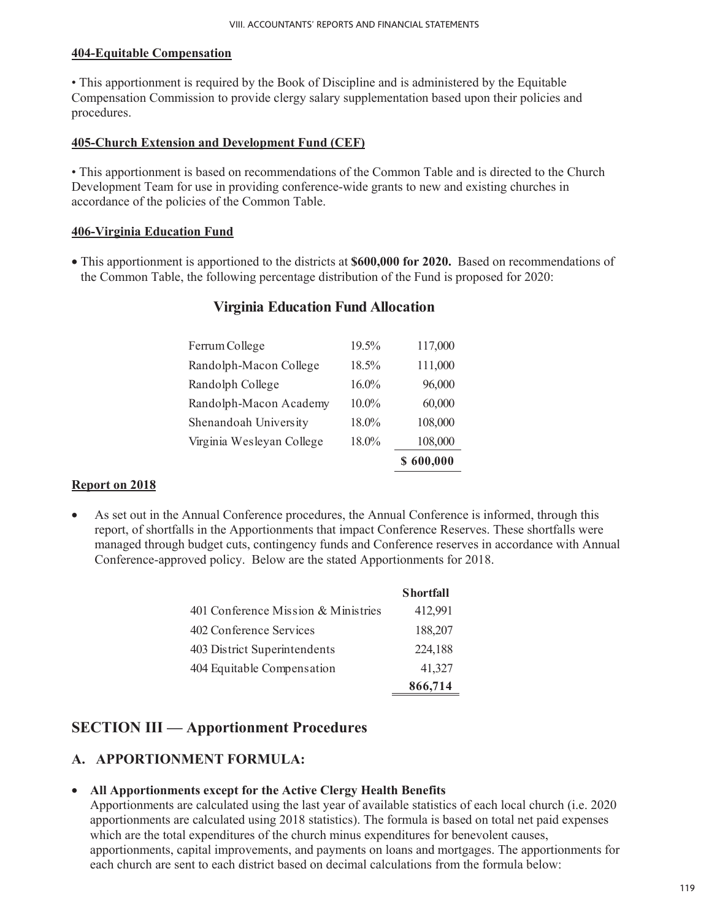### **404-Equitable Compensation**

• This apportionment is required by the Book of Discipline and is administered by the Equitable Compensation Commission to provide clergy salary supplementation based upon their policies and procedures.

### **405-Church Extension and Development Fund (CEF)**

• This apportionment is based on recommendations of the Common Table and is directed to the Church Development Team for use in providing conference-wide grants to new and existing churches in accordance of the policies of the Common Table.

### **406-Virginia Education Fund**

• This apportionment is apportioned to the districts at **\$600,000 for 2020.** Based on recommendations of the Common Table, the following percentage distribution of the Fund is proposed for 2020:

### **Virginia Education Fund Allocation**

| 18.0% | 108,000                                      |
|-------|----------------------------------------------|
|       |                                              |
|       | 108,000                                      |
|       | 60,000                                       |
|       | 96,000                                       |
|       | 111,000                                      |
|       | 117,000                                      |
|       | 19.5%<br>18.5%<br>$16.0\%$<br>10.0%<br>18.0% |

### **Report on 2018**

• As set out in the Annual Conference procedures, the Annual Conference is informed, through this report, of shortfalls in the Apportionments that impact Conference Reserves. These shortfalls were managed through budget cuts, contingency funds and Conference reserves in accordance with Annual Conference-approved policy. Below are the stated Apportionments for 2018.

|                                     | <b>Shortfall</b> |
|-------------------------------------|------------------|
| 401 Conference Mission & Ministries | 412,991          |
| 402 Conference Services             | 188,207          |
| 403 District Superintendents        | 224,188          |
| 404 Equitable Compensation          | 41,327           |
|                                     | 866,714          |

# **SECTION III — Apportionment Procedures**

### **A. APPORTIONMENT FORMULA:**

### • **All Apportionments except for the Active Clergy Health Benefits**

Apportionments are calculated using the last year of available statistics of each local church (i.e. 2020 apportionments are calculated using 2018 statistics). The formula is based on total net paid expenses which are the total expenditures of the church minus expenditures for benevolent causes, apportionments, capital improvements, and payments on loans and mortgages. The apportionments for each church are sent to each district based on decimal calculations from the formula below: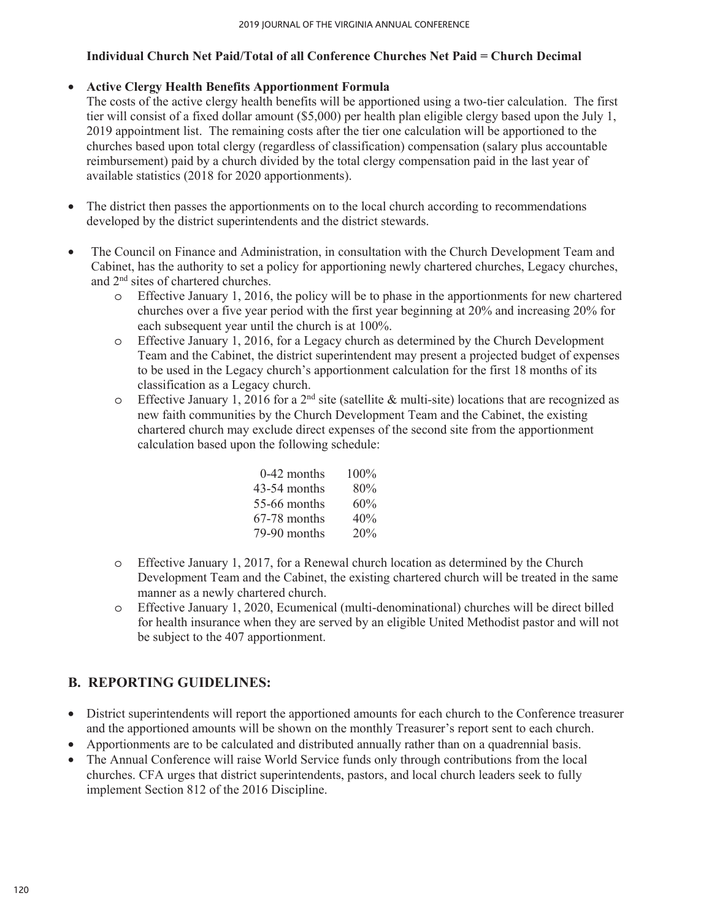### **Individual Church Net Paid/Total of all Conference Churches Net Paid = Church Decimal**

### • **Active Clergy Health Benefits Apportionment Formula**

The costs of the active clergy health benefits will be apportioned using a two-tier calculation. The first tier will consist of a fixed dollar amount (\$5,000) per health plan eligible clergy based upon the July 1, 2019 appointment list. The remaining costs after the tier one calculation will be apportioned to the churches based upon total clergy (regardless of classification) compensation (salary plus accountable reimbursement) paid by a church divided by the total clergy compensation paid in the last year of available statistics (2018 for 2020 apportionments).

- The district then passes the apportionments on to the local church according to recommendations developed by the district superintendents and the district stewards.
- The Council on Finance and Administration, in consultation with the Church Development Team and Cabinet, has the authority to set a policy for apportioning newly chartered churches, Legacy churches, and 2nd sites of chartered churches.
	- o Effective January 1, 2016, the policy will be to phase in the apportionments for new chartered churches over a five year period with the first year beginning at 20% and increasing 20% for each subsequent year until the church is at 100%.
	- o Effective January 1, 2016, for a Legacy church as determined by the Church Development Team and the Cabinet, the district superintendent may present a projected budget of expenses to be used in the Legacy church's apportionment calculation for the first 18 months of its classification as a Legacy church.
	- $\circ$  Effective January 1, 2016 for a 2<sup>nd</sup> site (satellite & multi-site) locations that are recognized as new faith communities by the Church Development Team and the Cabinet, the existing chartered church may exclude direct expenses of the second site from the apportionment calculation based upon the following schedule:

| 0-42 months  | $100\%$ |
|--------------|---------|
| 43-54 months | 80%     |
| 55-66 months | 60%     |
| 67-78 months | 40%     |
| 79-90 months | 20%     |

- o Effective January 1, 2017, for a Renewal church location as determined by the Church Development Team and the Cabinet, the existing chartered church will be treated in the same manner as a newly chartered church.
- o Effective January 1, 2020, Ecumenical (multi-denominational) churches will be direct billed for health insurance when they are served by an eligible United Methodist pastor and will not be subject to the 407 apportionment.

# **B. REPORTING GUIDELINES:**

- District superintendents will report the apportioned amounts for each church to the Conference treasurer and the apportioned amounts will be shown on the monthly Treasurer's report sent to each church.
- Apportionments are to be calculated and distributed annually rather than on a quadrennial basis.
- The Annual Conference will raise World Service funds only through contributions from the local churches. CFA urges that district superintendents, pastors, and local church leaders seek to fully implement Section 812 of the 2016 Discipline.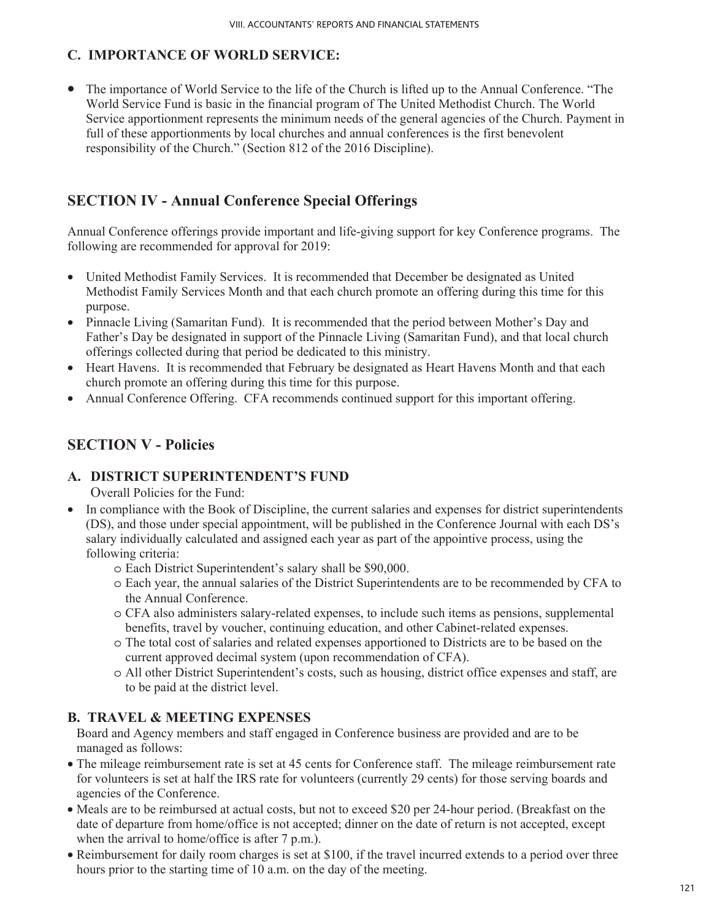# **C. IMPORTANCE OF WORLD SERVICE:**

• The importance of World Service to the life of the Church is lifted up to the Annual Conference. "The World Service Fund is basic in the financial program of The United Methodist Church. The World Service apportionment represents the minimum needs of the general agencies of the Church. Payment in full of these apportionments by local churches and annual conferences is the first benevolent responsibility of the Church." (Section 812 of the 2016 Discipline).

# **SECTION IV - Annual Conference Special Offerings**

Annual Conference offerings provide important and life-giving support for key Conference programs. The following are recommended for approval for 2019:

- United Methodist Family Services. It is recommended that December be designated as United Methodist Family Services Month and that each church promote an offering during this time for this purpose.
- Pinnacle Living (Samaritan Fund). It is recommended that the period between Mother's Day and Father's Day be designated in support of the Pinnacle Living (Samaritan Fund), and that local church offerings collected during that period be dedicated to this ministry.
- Heart Havens. It is recommended that February be designated as Heart Havens Month and that each church promote an offering during this time for this purpose.
- Annual Conference Offering. CFA recommends continued support for this important offering.

# **SECTION V - Policies**

# **A. DISTRICT SUPERINTENDENT'S FUND**

Overall Policies for the Fund:

- In compliance with the Book of Discipline, the current salaries and expenses for district superintendents (DS), and those under special appointment, will be published in the Conference Journal with each DS's salary individually calculated and assigned each year as part of the appointive process, using the following criteria:
	- o Each District Superintendent's salary shall be \$90,000.
	- o Each year, the annual salaries of the District Superintendents are to be recommended by CFA to the Annual Conference.
	- o CFA also administers salary-related expenses, to include such items as pensions, supplemental benefits, travel by voucher, continuing education, and other Cabinet-related expenses.
	- o The total cost of salaries and related expenses apportioned to Districts are to be based on the current approved decimal system (upon recommendation of CFA).
	- o All other District Superintendent's costs, such as housing, district office expenses and staff, are to be paid at the district level.

# **B. TRAVEL & MEETING EXPENSES**

Board and Agency members and staff engaged in Conference business are provided and are to be managed as follows:

- The mileage reimbursement rate is set at 45 cents for Conference staff. The mileage reimbursement rate for volunteers is set at half the IRS rate for volunteers (currently 29 cents) for those serving boards and agencies of the Conference.
- Meals are to be reimbursed at actual costs, but not to exceed \$20 per 24-hour period. (Breakfast on the date of departure from home/office is not accepted; dinner on the date of return is not accepted, except when the arrival to home/office is after 7 p.m.).
- Reimbursement for daily room charges is set at \$100, if the travel incurred extends to a period over three hours prior to the starting time of 10 a.m. on the day of the meeting.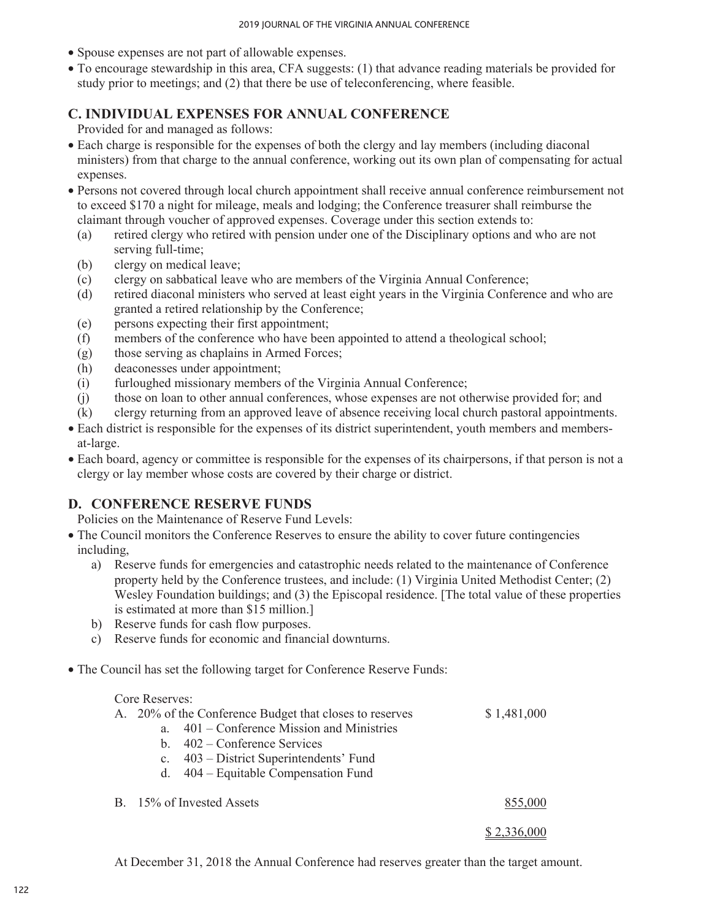- Spouse expenses are not part of allowable expenses.
- To encourage stewardship in this area, CFA suggests: (1) that advance reading materials be provided for study prior to meetings; and (2) that there be use of teleconferencing, where feasible.

### **C. INDIVIDUAL EXPENSES FOR ANNUAL CONFERENCE**

Provided for and managed as follows:

- Each charge is responsible for the expenses of both the clergy and lay members (including diaconal ministers) from that charge to the annual conference, working out its own plan of compensating for actual expenses.
- Persons not covered through local church appointment shall receive annual conference reimbursement not to exceed \$170 a night for mileage, meals and lodging; the Conference treasurer shall reimburse the claimant through voucher of approved expenses. Coverage under this section extends to:
	- (a) retired clergy who retired with pension under one of the Disciplinary options and who are not serving full-time;
	- (b) clergy on medical leave;
	- (c) clergy on sabbatical leave who are members of the Virginia Annual Conference;
	- (d) retired diaconal ministers who served at least eight years in the Virginia Conference and who are granted a retired relationship by the Conference;
	- (e) persons expecting their first appointment;
	- (f) members of the conference who have been appointed to attend a theological school;
	- (g) those serving as chaplains in Armed Forces;
	- (h) deaconesses under appointment;
	- (i) furloughed missionary members of the Virginia Annual Conference;
	- (j) those on loan to other annual conferences, whose expenses are not otherwise provided for; and
	- (k) clergy returning from an approved leave of absence receiving local church pastoral appointments.
- Each district is responsible for the expenses of its district superintendent, youth members and membersat-large.
- Each board, agency or committee is responsible for the expenses of its chairpersons, if that person is not a clergy or lay member whose costs are covered by their charge or district.

# **D. CONFERENCE RESERVE FUNDS**

Policies on the Maintenance of Reserve Fund Levels:

- The Council monitors the Conference Reserves to ensure the ability to cover future contingencies including,
	- a) Reserve funds for emergencies and catastrophic needs related to the maintenance of Conference property held by the Conference trustees, and include: (1) Virginia United Methodist Center; (2) Wesley Foundation buildings; and (3) the Episcopal residence. [The total value of these properties is estimated at more than \$15 million.]
	- b) Reserve funds for cash flow purposes.
	- c) Reserve funds for economic and financial downturns.
- The Council has set the following target for Conference Reserve Funds:

### Core Reserves:

|         | A. 20% of the Conference Budget that closes to reserves | \$1,481,000 |
|---------|---------------------------------------------------------|-------------|
| $a_{-}$ | $401$ – Conference Mission and Ministries               |             |
|         | b. $402$ – Conference Services                          |             |
|         | c. 403 – District Superintendents' Fund                 |             |
|         | d. $404 -$ Equitable Compensation Fund                  |             |
|         | B. 15% of Invested Assets                               | 855,000     |
|         |                                                         |             |

At December 31, 2018 the Annual Conference had reserves greater than the target amount.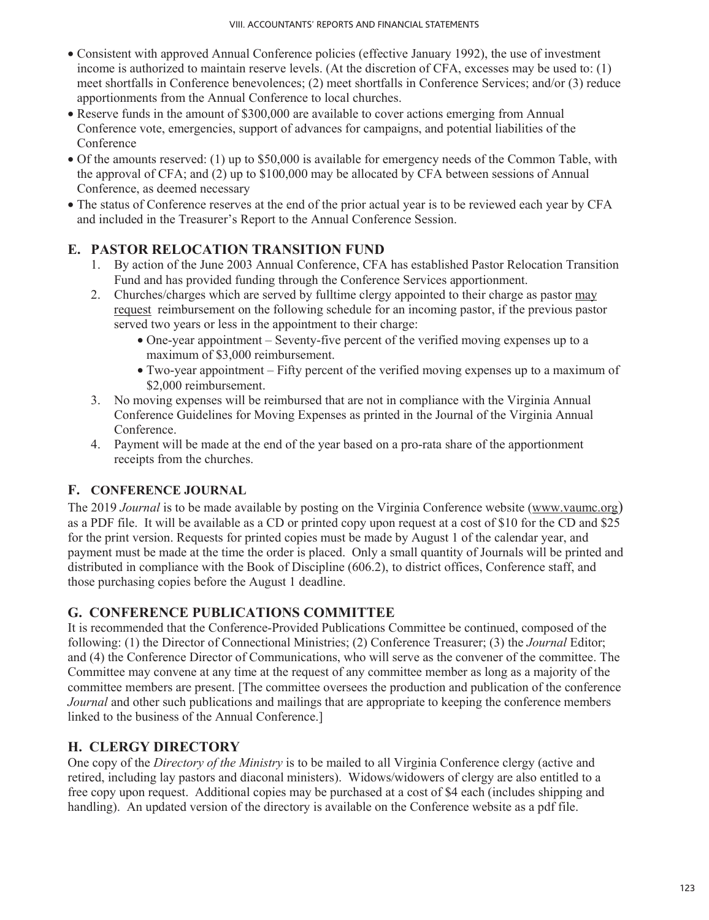- Consistent with approved Annual Conference policies (effective January 1992), the use of investment income is authorized to maintain reserve levels. (At the discretion of CFA, excesses may be used to: (1) meet shortfalls in Conference benevolences; (2) meet shortfalls in Conference Services; and/or (3) reduce apportionments from the Annual Conference to local churches.
- Reserve funds in the amount of \$300,000 are available to cover actions emerging from Annual Conference vote, emergencies, support of advances for campaigns, and potential liabilities of the Conference
- Of the amounts reserved: (1) up to \$50,000 is available for emergency needs of the Common Table, with the approval of CFA; and (2) up to \$100,000 may be allocated by CFA between sessions of Annual Conference, as deemed necessary
- The status of Conference reserves at the end of the prior actual year is to be reviewed each year by CFA and included in the Treasurer's Report to the Annual Conference Session.

# **E. PASTOR RELOCATION TRANSITION FUND**

- 1. By action of the June 2003 Annual Conference, CFA has established Pastor Relocation Transition Fund and has provided funding through the Conference Services apportionment.
- 2. Churches/charges which are served by fulltime clergy appointed to their charge as pastor may request reimbursement on the following schedule for an incoming pastor, if the previous pastor served two years or less in the appointment to their charge:
	- One-year appointment Seventy-five percent of the verified moving expenses up to a maximum of \$3,000 reimbursement.
	- Two-year appointment Fifty percent of the verified moving expenses up to a maximum of \$2,000 reimbursement.
- 3. No moving expenses will be reimbursed that are not in compliance with the Virginia Annual Conference Guidelines for Moving Expenses as printed in the Journal of the Virginia Annual Conference.
- 4. Payment will be made at the end of the year based on a pro-rata share of the apportionment receipts from the churches.

# **F. CONFERENCE JOURNAL**

The 2019 *Journal* is to be made available by posting on the Virginia Conference website (www.vaumc.org) as a PDF file. It will be available as a CD or printed copy upon request at a cost of \$10 for the CD and \$25 for the print version. Requests for printed copies must be made by August 1 of the calendar year, and payment must be made at the time the order is placed. Only a small quantity of Journals will be printed and distributed in compliance with the Book of Discipline (606.2), to district offices, Conference staff, and those purchasing copies before the August 1 deadline.

# **G. CONFERENCE PUBLICATIONS COMMITTEE**

It is recommended that the Conference-Provided Publications Committee be continued, composed of the following: (1) the Director of Connectional Ministries; (2) Conference Treasurer; (3) the *Journal* Editor; and (4) the Conference Director of Communications, who will serve as the convener of the committee. The Committee may convene at any time at the request of any committee member as long as a majority of the committee members are present. [The committee oversees the production and publication of the conference *Journal* and other such publications and mailings that are appropriate to keeping the conference members linked to the business of the Annual Conference.]

# **H. CLERGY DIRECTORY**

One copy of the *Directory of the Ministry* is to be mailed to all Virginia Conference clergy (active and retired, including lay pastors and diaconal ministers). Widows/widowers of clergy are also entitled to a free copy upon request. Additional copies may be purchased at a cost of \$4 each (includes shipping and handling). An updated version of the directory is available on the Conference website as a pdf file.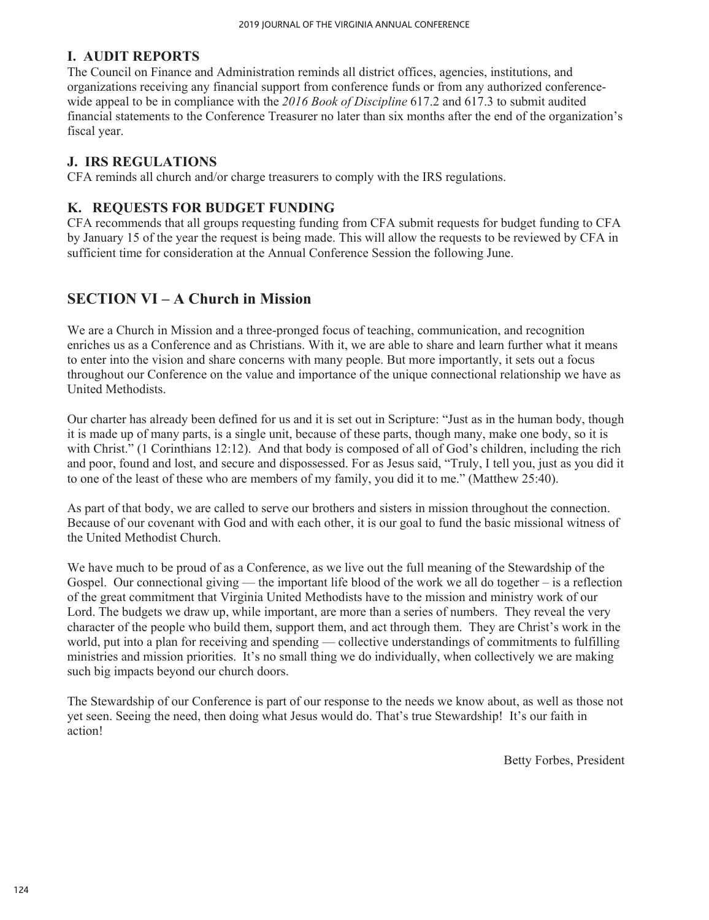### **I. AUDIT REPORTS**

The Council on Finance and Administration reminds all district offices, agencies, institutions, and organizations receiving any financial support from conference funds or from any authorized conferencewide appeal to be in compliance with the *2016 Book of Discipline* 617.2 and 617.3 to submit audited financial statements to the Conference Treasurer no later than six months after the end of the organization's fiscal year.

### **J. IRS REGULATIONS**

CFA reminds all church and/or charge treasurers to comply with the IRS regulations.

### **K. REQUESTS FOR BUDGET FUNDING**

CFA recommends that all groups requesting funding from CFA submit requests for budget funding to CFA by January 15 of the year the request is being made. This will allow the requests to be reviewed by CFA in sufficient time for consideration at the Annual Conference Session the following June.

# **SECTION VI – A Church in Mission**

We are a Church in Mission and a three-pronged focus of teaching, communication, and recognition enriches us as a Conference and as Christians. With it, we are able to share and learn further what it means to enter into the vision and share concerns with many people. But more importantly, it sets out a focus throughout our Conference on the value and importance of the unique connectional relationship we have as United Methodists.

Our charter has already been defined for us and it is set out in Scripture: "Just as in the human body, though it is made up of many parts, is a single unit, because of these parts, though many, make one body, so it is with Christ." (1 Corinthians 12:12). And that body is composed of all of God's children, including the rich and poor, found and lost, and secure and dispossessed. For as Jesus said, "Truly, I tell you, just as you did it to one of the least of these who are members of my family, you did it to me." (Matthew 25:40).

As part of that body, we are called to serve our brothers and sisters in mission throughout the connection. Because of our covenant with God and with each other, it is our goal to fund the basic missional witness of the United Methodist Church.

We have much to be proud of as a Conference, as we live out the full meaning of the Stewardship of the Gospel. Our connectional giving — the important life blood of the work we all do together  $-$  is a reflection of the great commitment that Virginia United Methodists have to the mission and ministry work of our Lord. The budgets we draw up, while important, are more than a series of numbers. They reveal the very character of the people who build them, support them, and act through them. They are Christ's work in the world, put into a plan for receiving and spending — collective understandings of commitments to fulfilling ministries and mission priorities. It's no small thing we do individually, when collectively we are making such big impacts beyond our church doors.

The Stewardship of our Conference is part of our response to the needs we know about, as well as those not yet seen. Seeing the need, then doing what Jesus would do. That's true Stewardship! It's our faith in action!

Betty Forbes, President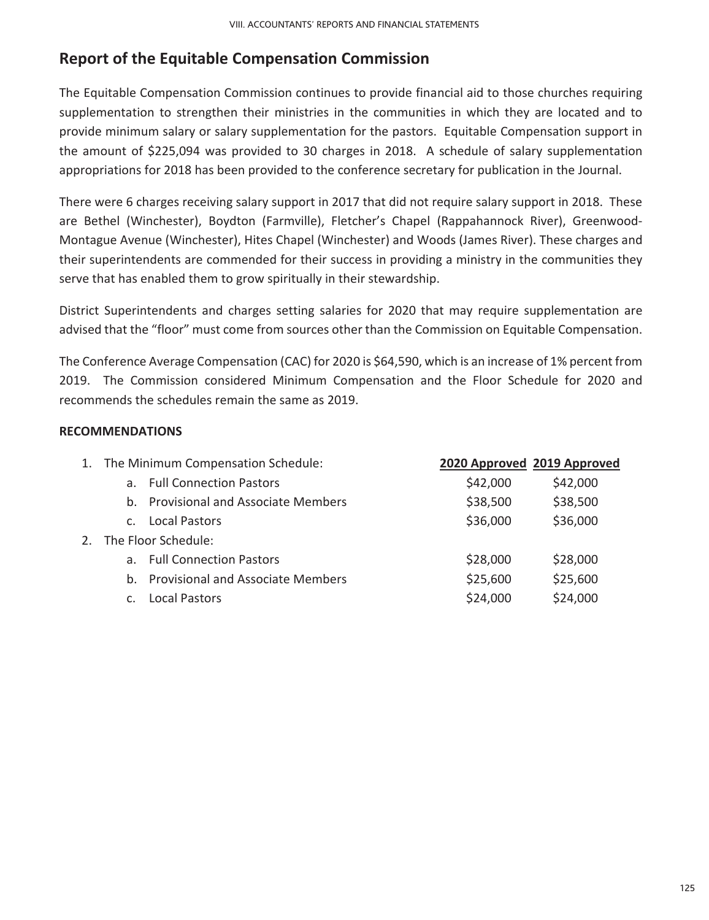# **Report of the Equitable Compensation Commission**

The Equitable Compensation Commission continues to provide financial aid to those churches requiring supplementation to strengthen their ministries in the communities in which they are located and to provide minimum salary or salary supplementation for the pastors. Equitable Compensation support in the amount of \$225,094 was provided to 30 charges in 2018. A schedule of salary supplementation appropriations for 2018 has been provided to the conference secretary for publication in the Journal.

There were 6 charges receiving salary support in 2017 that did not require salary support in 2018. These are Bethel (Winchester), Boydton (Farmville), Fletcher's Chapel (Rappahannock River), Greenwood-Montague Avenue (Winchester), Hites Chapel (Winchester) and Woods (James River). These charges and their superintendents are commended for their success in providing a ministry in the communities they serve that has enabled them to grow spiritually in their stewardship.

District Superintendents and charges setting salaries for 2020 that may require supplementation are advised that the "floor" must come from sources other than the Commission on Equitable Compensation.

The Conference Average Compensation (CAC) for 2020 is \$64,590, which is an increase of 1% percent from 2019. The Commission considered Minimum Compensation and the Floor Schedule for 2020 and recommends the schedules remain the same as 2019.

### **RECOMMENDATIONS**

|                | 1. The Minimum Compensation Schedule: | 2020 Approved 2019 Approved |          |
|----------------|---------------------------------------|-----------------------------|----------|
|                | a. Full Connection Pastors            | \$42,000                    | \$42,000 |
|                | b. Provisional and Associate Members  | \$38,500                    | \$38,500 |
| C <sub>1</sub> | Local Pastors                         | \$36,000                    | \$36,000 |
|                | 2. The Floor Schedule:                |                             |          |
|                | a. Full Connection Pastors            | \$28,000                    | \$28,000 |
|                | b. Provisional and Associate Members  | \$25,600                    | \$25,600 |
| $C_{\rm{H}}$   | <b>Local Pastors</b>                  | \$24,000                    | \$24,000 |
|                |                                       |                             |          |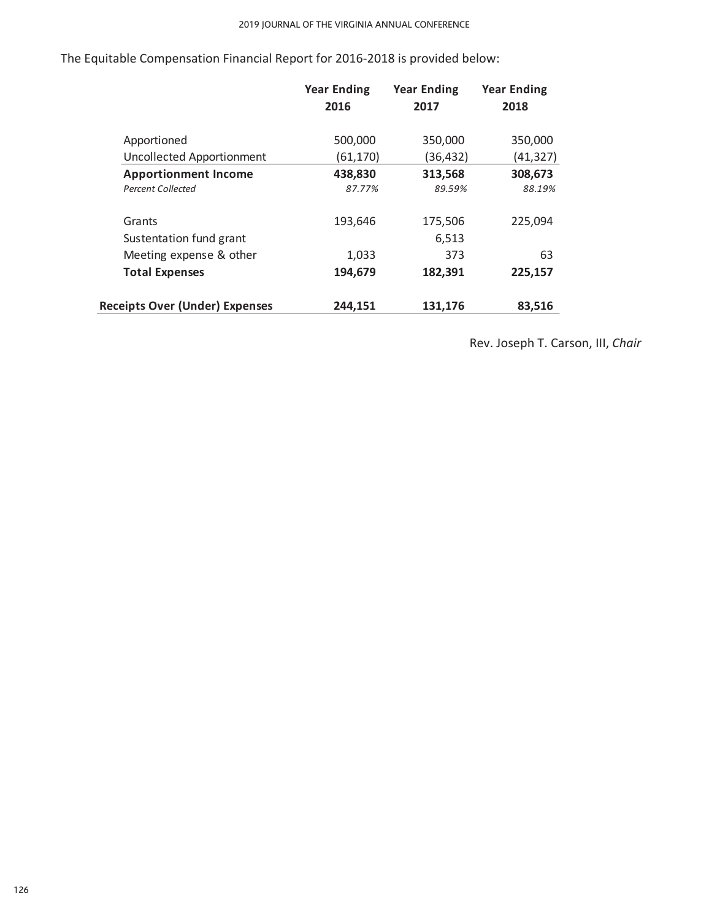|                             | <b>Year Ending</b> | <b>Year Ending</b> | <b>Year Ending</b> |
|-----------------------------|--------------------|--------------------|--------------------|
|                             | 2016               | 2017               | 2018               |
| Apportioned                 | 500,000            | 350,000            | 350,000            |
| Uncollected Apportionment   | (61, 170)          | (36,432)           | (41,327)           |
| <b>Apportionment Income</b> | 438,830            | 313,568            | 308,673            |
| <b>Percent Collected</b>    | 87.77%             | 89.59%             | 88.19%             |
| Grants                      | 193,646            | 175,506            | 225,094            |
| Sustentation fund grant     |                    | 6,513              |                    |
| Meeting expense & other     | 1,033              | 373                | 63                 |
| <b>Total Expenses</b>       | 194,679            | 182,391            | 225,157            |

Receipts Over (Under) Expenses **244,151** 131,176 83,516

The Equitable Compensation Financial Report for 2016-2018 is provided below:

Rev. Joseph T. Carson, III, *Chair*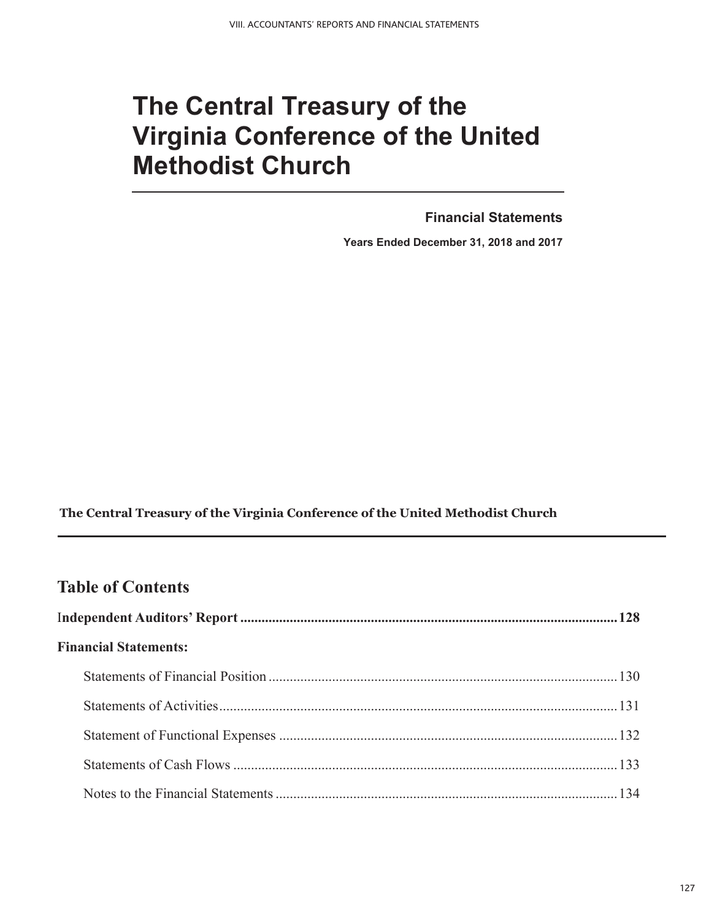# **The Central Treasury of the Virginia Conference of the United Methodist Church**

**Financial Statements** 

**Years Ended December 31, 2018 and 2017** 

**The Central Treasury of the Virginia Conference of the United Methodist Church** 

# **Table of Contents Table of Contents**

| <b>Financial Statements:</b> |  |  |  |  |
|------------------------------|--|--|--|--|
|                              |  |  |  |  |
|                              |  |  |  |  |
|                              |  |  |  |  |
|                              |  |  |  |  |
|                              |  |  |  |  |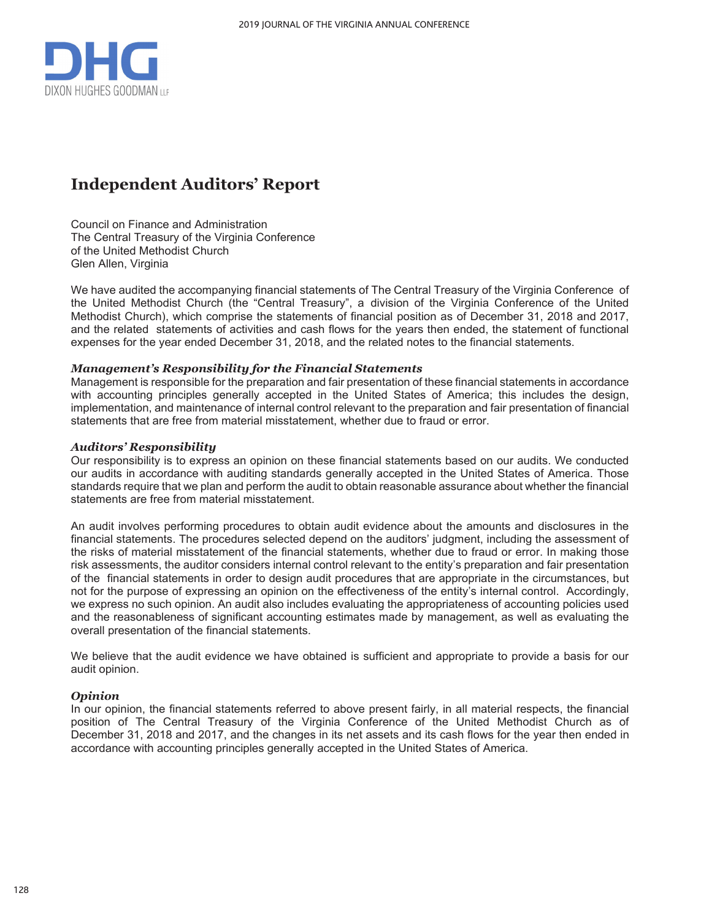

# **Independent Auditors' Report**

Council on Finance and Administration The Central Treasury of the Virginia Conference of the United Methodist Church Glen Allen, Virginia

We have audited the accompanying financial statements of The Central Treasury of the Virginia Conference of the United Methodist Church (the "Central Treasury", a division of the Virginia Conference of the United Methodist Church), which comprise the statements of financial position as of December 31, 2018 and 2017, and the related statements of activities and cash flows for the years then ended, the statement of functional expenses for the year ended December 31, 2018, and the related notes to the financial statements.

#### *Management's Responsibility for the Financial Statements*

Management is responsible for the preparation and fair presentation of these financial statements in accordance with accounting principles generally accepted in the United States of America; this includes the design, implementation, and maintenance of internal control relevant to the preparation and fair presentation of financial statements that are free from material misstatement, whether due to fraud or error.

#### *Auditors' Responsibility*

Our responsibility is to express an opinion on these financial statements based on our audits. We conducted our audits in accordance with auditing standards generally accepted in the United States of America. Those standards require that we plan and perform the audit to obtain reasonable assurance about whether the financial statements are free from material misstatement.

An audit involves performing procedures to obtain audit evidence about the amounts and disclosures in the financial statements. The procedures selected depend on the auditors' judgment, including the assessment of the risks of material misstatement of the financial statements, whether due to fraud or error. In making those risk assessments, the auditor considers internal control relevant to the entity's preparation and fair presentation of the financial statements in order to design audit procedures that are appropriate in the circumstances, but not for the purpose of expressing an opinion on the effectiveness of the entity's internal control. Accordingly, we express no such opinion. An audit also includes evaluating the appropriateness of accounting policies used and the reasonableness of significant accounting estimates made by management, as well as evaluating the overall presentation of the financial statements.

We believe that the audit evidence we have obtained is sufficient and appropriate to provide a basis for our audit opinion.

### *Opinion*

In our opinion, the financial statements referred to above present fairly, in all material respects, the financial position of The Central Treasury of the Virginia Conference of the United Methodist Church as of December 31, 2018 and 2017, and the changes in its net assets and its cash flows for the year then ended in accordance with accounting principles generally accepted in the United States of America.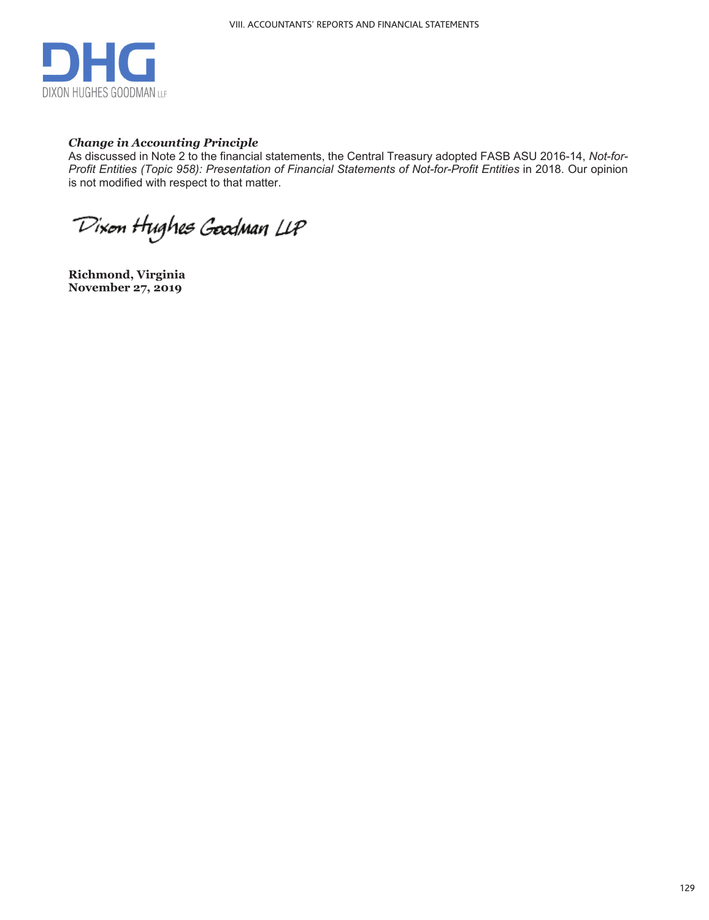

### *Change in Accounting Principle*

As discussed in Note 2 to the financial statements, the Central Treasury adopted FASB ASU 2016-14, *Not-for-Profit Entities (Topic 958): Presentation of Financial Statements of Not-for-Profit Entities in 2018. Our opinion* is not modified with respect to that matter.

Dixon Hughes Goodman LLP

**Richmond, Virginia November 27, 2019**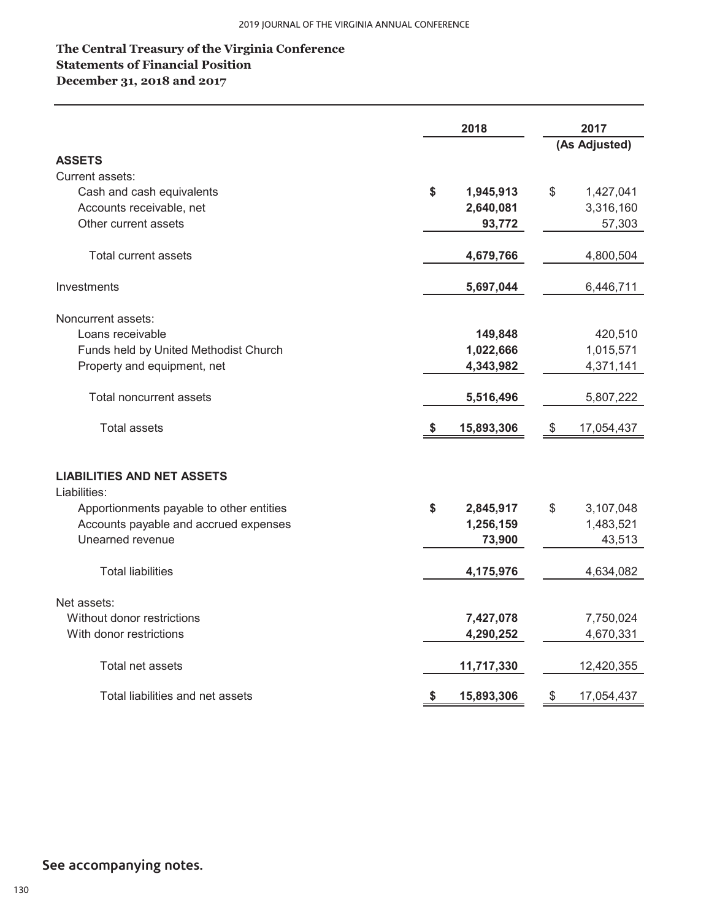# **December 31, 2018 and 2017 The Central Treasury of the Virginia Conference Statements of Financial Position**

|                                                   | 2018 |            | 2017 |               |
|---------------------------------------------------|------|------------|------|---------------|
|                                                   |      |            |      | (As Adjusted) |
| <b>ASSETS</b>                                     |      |            |      |               |
| Current assets:                                   |      |            |      |               |
| Cash and cash equivalents                         | \$   | 1,945,913  | \$   | 1,427,041     |
| Accounts receivable, net                          |      | 2,640,081  |      | 3,316,160     |
| Other current assets                              |      | 93,772     |      | 57,303        |
| <b>Total current assets</b>                       |      | 4,679,766  |      | 4,800,504     |
| Investments                                       |      | 5,697,044  |      | 6,446,711     |
| Noncurrent assets:                                |      |            |      |               |
| Loans receivable                                  |      | 149,848    |      | 420,510       |
| Funds held by United Methodist Church             |      | 1,022,666  |      | 1,015,571     |
| Property and equipment, net                       |      | 4,343,982  |      | 4,371,141     |
| <b>Total noncurrent assets</b>                    |      | 5,516,496  |      | 5,807,222     |
| <b>Total assets</b>                               |      | 15,893,306 | \$   | 17,054,437    |
| <b>LIABILITIES AND NET ASSETS</b><br>Liabilities: |      |            |      |               |
| Apportionments payable to other entities          | \$   | 2,845,917  | \$   | 3,107,048     |
| Accounts payable and accrued expenses             |      | 1,256,159  |      | 1,483,521     |
| Unearned revenue                                  |      | 73,900     |      | 43,513        |
| <b>Total liabilities</b>                          |      | 4,175,976  |      | 4,634,082     |
| Net assets:                                       |      |            |      |               |
| Without donor restrictions                        |      | 7,427,078  |      | 7,750,024     |
| With donor restrictions                           |      | 4,290,252  |      | 4,670,331     |
| Total net assets                                  |      | 11,717,330 |      | 12,420,355    |
| Total liabilities and net assets                  | \$   | 15,893,306 | \$   | 17,054,437    |

# **See accompanying notes.**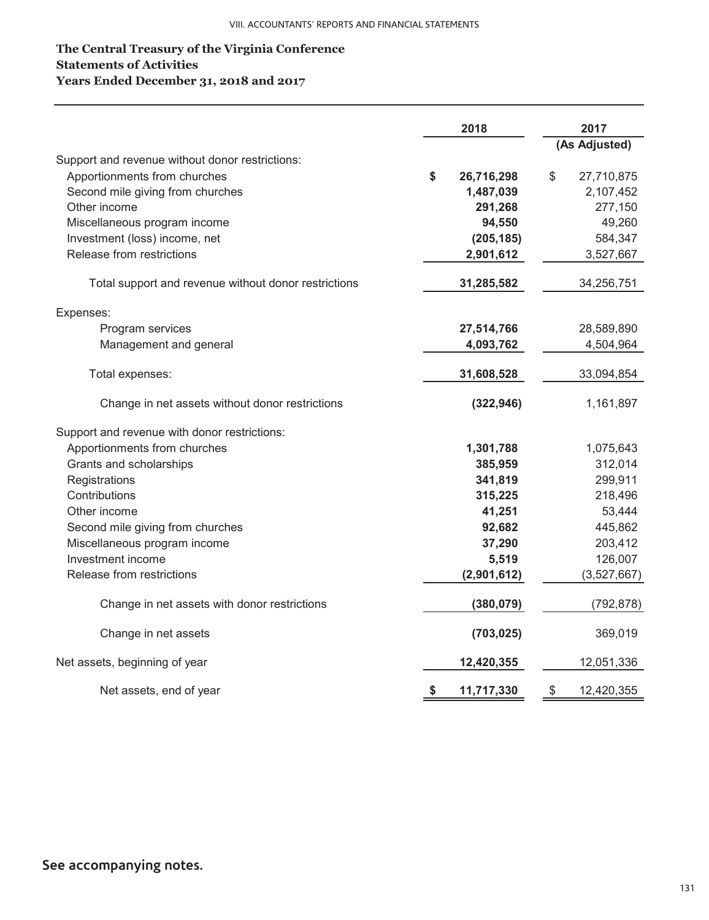### **The Central Treasury of the Virginia Conference Statements of Activities Years Ended December 31, 2018 and 2017**

|                                                      | 2018 |             | 2017 |               |  |
|------------------------------------------------------|------|-------------|------|---------------|--|
|                                                      |      |             |      | (As Adjusted) |  |
| Support and revenue without donor restrictions:      |      |             |      |               |  |
| Apportionments from churches                         | \$   | 26,716,298  | \$   | 27,710,875    |  |
| Second mile giving from churches                     |      | 1,487,039   |      | 2,107,452     |  |
| Other income                                         |      | 291,268     |      | 277,150       |  |
| Miscellaneous program income                         |      | 94,550      |      | 49,260        |  |
| Investment (loss) income, net                        |      | (205, 185)  |      | 584,347       |  |
| Release from restrictions                            |      | 2,901,612   |      | 3,527,667     |  |
| Total support and revenue without donor restrictions |      | 31,285,582  |      | 34,256,751    |  |
| Expenses:                                            |      |             |      |               |  |
| Program services                                     |      | 27,514,766  |      | 28,589,890    |  |
| Management and general                               |      | 4,093,762   |      | 4,504,964     |  |
| Total expenses:                                      |      | 31,608,528  |      | 33,094,854    |  |
| Change in net assets without donor restrictions      |      | (322, 946)  |      | 1,161,897     |  |
| Support and revenue with donor restrictions:         |      |             |      |               |  |
| Apportionments from churches                         |      | 1,301,788   |      | 1,075,643     |  |
| Grants and scholarships                              |      | 385,959     |      | 312,014       |  |
| Registrations                                        |      | 341,819     |      | 299,911       |  |
| Contributions                                        |      | 315,225     |      | 218,496       |  |
| Other income                                         |      | 41,251      |      | 53,444        |  |
| Second mile giving from churches                     |      | 92,682      |      | 445,862       |  |
| Miscellaneous program income                         |      | 37,290      |      | 203,412       |  |
| Investment income                                    |      | 5,519       |      | 126,007       |  |
| Release from restrictions                            |      | (2,901,612) |      | (3,527,667)   |  |
| Change in net assets with donor restrictions         |      | (380, 079)  |      | (792, 878)    |  |
| Change in net assets                                 |      | (703, 025)  |      | 369,019       |  |
| Net assets, beginning of year                        |      | 12,420,355  |      | 12,051,336    |  |
| Net assets, end of year                              | \$   | 11,717,330  | \$   | 12,420,355    |  |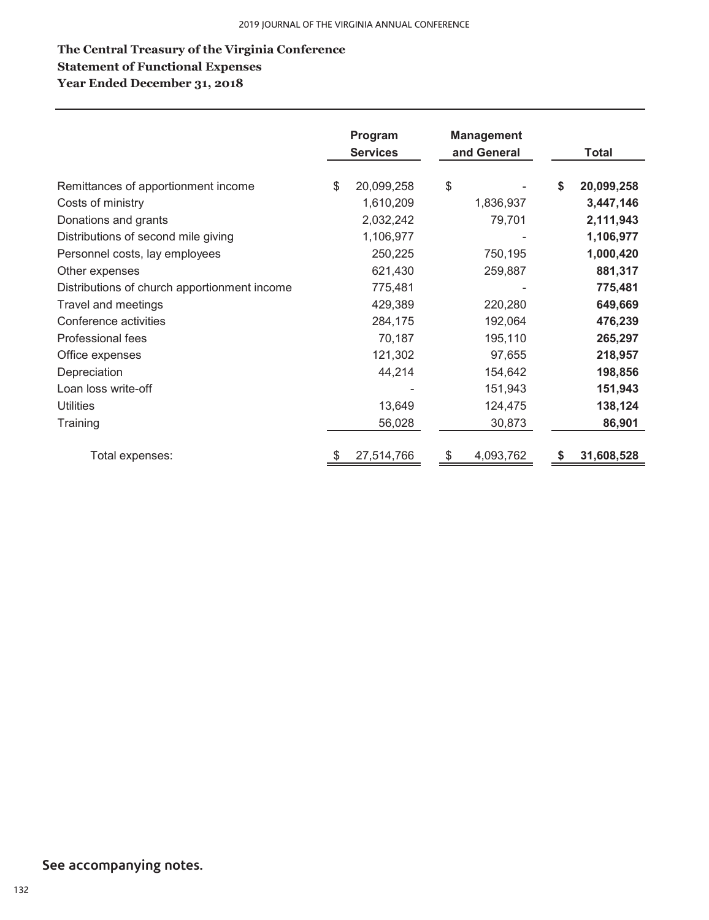# **The Central Treasury of the Virginia Conference Year Ended December 31, 2018 Statement of Functional Expenses**

|                                              | Program<br><b>Services</b> | <b>Management</b><br>and General | <b>Total</b>     |
|----------------------------------------------|----------------------------|----------------------------------|------------------|
| Remittances of apportionment income          | \$<br>20,099,258           | \$                               | \$<br>20,099,258 |
| Costs of ministry                            | 1,610,209                  | 1,836,937                        | 3,447,146        |
| Donations and grants                         | 2,032,242                  | 79,701                           | 2,111,943        |
| Distributions of second mile giving          | 1,106,977                  |                                  | 1,106,977        |
| Personnel costs, lay employees               | 250,225                    | 750,195                          | 1,000,420        |
| Other expenses                               | 621,430                    | 259,887                          | 881,317          |
| Distributions of church apportionment income | 775,481                    |                                  | 775,481          |
| Travel and meetings                          | 429,389                    | 220,280                          | 649,669          |
| Conference activities                        | 284,175                    | 192,064                          | 476,239          |
| Professional fees                            | 70,187                     | 195,110                          | 265,297          |
| Office expenses                              | 121,302                    | 97,655                           | 218,957          |
| Depreciation                                 | 44,214                     | 154,642                          | 198,856          |
| Loan loss write-off                          |                            | 151,943                          | 151,943          |
| <b>Utilities</b>                             | 13,649                     | 124,475                          | 138,124          |
| Training                                     | 56,028                     | 30,873                           | 86,901           |
| Total expenses:                              | 27,514,766                 | 4,093,762                        | 31,608,528       |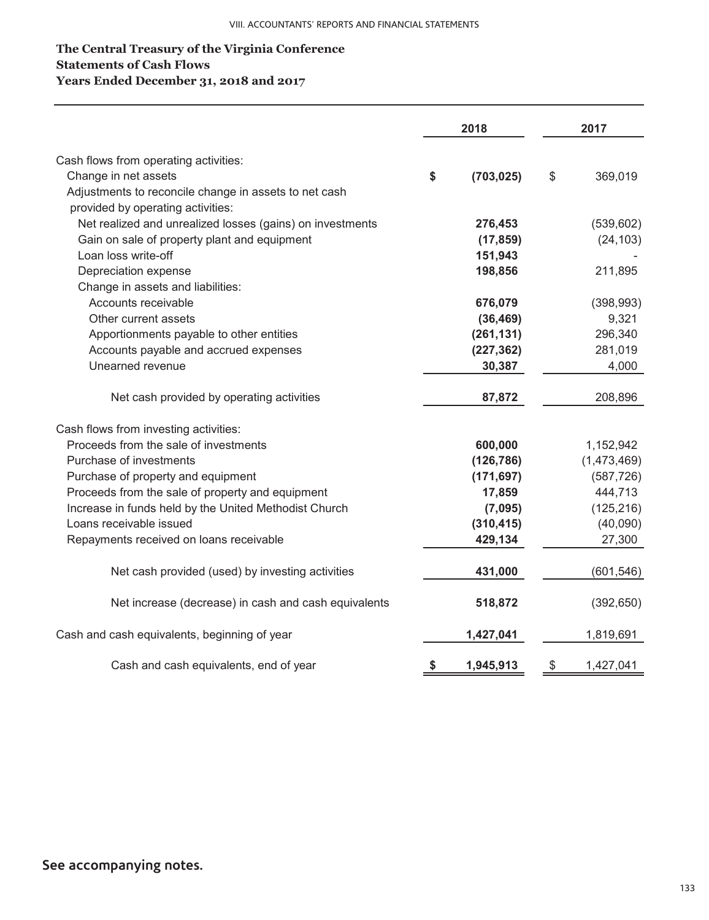### **The Central Treasury of the Virginia Conference Statements of Cash Flows Years Ended December 31, 2018 and 2017**

|                                                           | 2018 |            | 2017            |  |
|-----------------------------------------------------------|------|------------|-----------------|--|
| Cash flows from operating activities:                     |      |            |                 |  |
| Change in net assets                                      | \$   | (703, 025) | \$<br>369,019   |  |
| Adjustments to reconcile change in assets to net cash     |      |            |                 |  |
| provided by operating activities:                         |      |            |                 |  |
| Net realized and unrealized losses (gains) on investments |      | 276,453    | (539, 602)      |  |
| Gain on sale of property plant and equipment              |      | (17, 859)  | (24, 103)       |  |
| Loan loss write-off                                       |      | 151,943    |                 |  |
| Depreciation expense                                      |      | 198,856    | 211,895         |  |
| Change in assets and liabilities:                         |      |            |                 |  |
| Accounts receivable                                       |      | 676,079    | (398, 993)      |  |
| Other current assets                                      |      | (36, 469)  | 9,321           |  |
| Apportionments payable to other entities                  |      | (261, 131) | 296,340         |  |
| Accounts payable and accrued expenses                     |      | (227, 362) | 281,019         |  |
| Unearned revenue                                          |      | 30,387     | 4,000           |  |
| Net cash provided by operating activities                 |      | 87,872     | 208,896         |  |
| Cash flows from investing activities:                     |      |            |                 |  |
| Proceeds from the sale of investments                     |      | 600,000    | 1,152,942       |  |
| Purchase of investments                                   |      | (126, 786) | (1,473,469)     |  |
| Purchase of property and equipment                        |      | (171, 697) | (587, 726)      |  |
| Proceeds from the sale of property and equipment          |      | 17,859     | 444,713         |  |
| Increase in funds held by the United Methodist Church     |      | (7,095)    | (125, 216)      |  |
| Loans receivable issued                                   |      | (310, 415) | (40,090)        |  |
| Repayments received on loans receivable                   |      | 429,134    | 27,300          |  |
| Net cash provided (used) by investing activities          |      | 431,000    | (601, 546)      |  |
| Net increase (decrease) in cash and cash equivalents      |      | 518,872    | (392, 650)      |  |
| Cash and cash equivalents, beginning of year              |      | 1,427,041  | 1,819,691       |  |
| Cash and cash equivalents, end of year                    | \$   | 1,945,913  | \$<br>1,427,041 |  |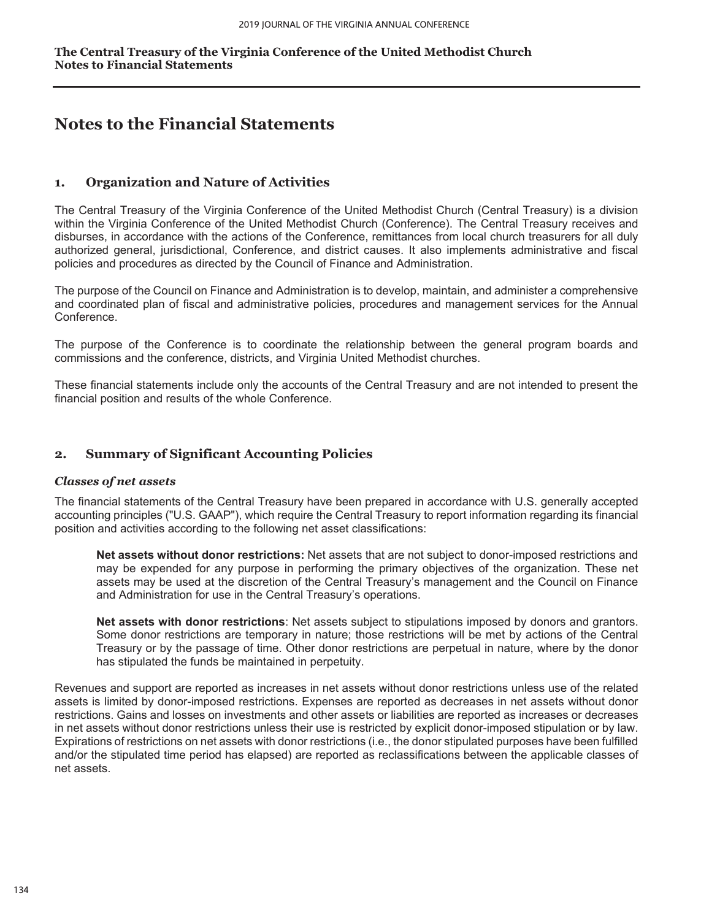# **Notes to the Financial Statements**

### **1. Organization and Nature of Activities**

The Central Treasury of the Virginia Conference of the United Methodist Church (Central Treasury) is a division within the Virginia Conference of the United Methodist Church (Conference). The Central Treasury receives and disburses, in accordance with the actions of the Conference, remittances from local church treasurers for all duly authorized general, jurisdictional, Conference, and district causes. It also implements administrative and fiscal policies and procedures as directed by the Council of Finance and Administration.

The purpose of the Council on Finance and Administration is to develop, maintain, and administer a comprehensive and coordinated plan of fiscal and administrative policies, procedures and management services for the Annual Conference.

The purpose of the Conference is to coordinate the relationship between the general program boards and commissions and the conference, districts, and Virginia United Methodist churches.

These financial statements include only the accounts of the Central Treasury and are not intended to present the financial position and results of the whole Conference.

### **2. Summary of Significant Accounting Policies**

### *Classes of net assets*

The financial statements of the Central Treasury have been prepared in accordance with U.S. generally accepted accounting principles ("U.S. GAAP"), which require the Central Treasury to report information regarding its financial position and activities according to the following net asset classifications:

**Net assets without donor restrictions:** Net assets that are not subject to donor-imposed restrictions and may be expended for any purpose in performing the primary objectives of the organization. These net assets may be used at the discretion of the Central Treasury's management and the Council on Finance and Administration for use in the Central Treasury's operations.

**Net assets with donor restrictions**: Net assets subject to stipulations imposed by donors and grantors. Some donor restrictions are temporary in nature; those restrictions will be met by actions of the Central Treasury or by the passage of time. Other donor restrictions are perpetual in nature, where by the donor has stipulated the funds be maintained in perpetuity.

Revenues and support are reported as increases in net assets without donor restrictions unless use of the related assets is limited by donor-imposed restrictions. Expenses are reported as decreases in net assets without donor restrictions. Gains and losses on investments and other assets or liabilities are reported as increases or decreases in net assets without donor restrictions unless their use is restricted by explicit donor-imposed stipulation or by law. Expirations of restrictions on net assets with donor restrictions (i.e., the donor stipulated purposes have been fulfilled and/or the stipulated time period has elapsed) are reported as reclassifications between the applicable classes of net assets.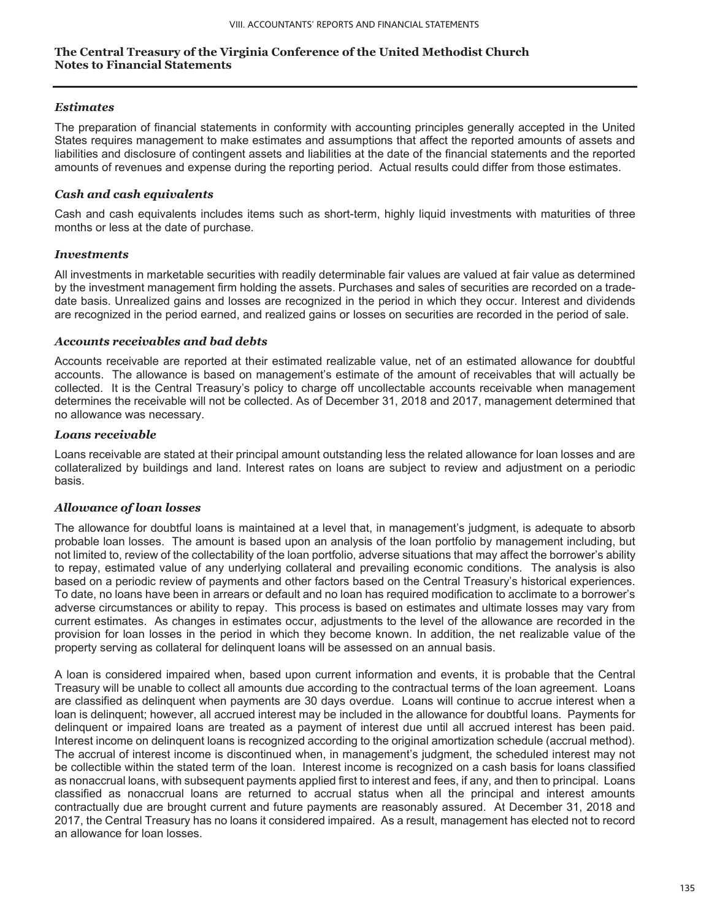### *Estimates*

The preparation of financial statements in conformity with accounting principles generally accepted in the United States requires management to make estimates and assumptions that affect the reported amounts of assets and liabilities and disclosure of contingent assets and liabilities at the date of the financial statements and the reported amounts of revenues and expense during the reporting period. Actual results could differ from those estimates.

### *Cash and cash equivalents*

Cash and cash equivalents includes items such as short-term, highly liquid investments with maturities of three months or less at the date of purchase.

### *Investments*

All investments in marketable securities with readily determinable fair values are valued at fair value as determined by the investment management firm holding the assets. Purchases and sales of securities are recorded on a tradedate basis. Unrealized gains and losses are recognized in the period in which they occur. Interest and dividends are recognized in the period earned, and realized gains or losses on securities are recorded in the period of sale.

### *Accounts receivables and bad debts*

Accounts receivable are reported at their estimated realizable value, net of an estimated allowance for doubtful accounts. The allowance is based on management's estimate of the amount of receivables that will actually be collected. It is the Central Treasury's policy to charge off uncollectable accounts receivable when management determines the receivable will not be collected. As of December 31, 2018 and 2017, management determined that no allowance was necessary.

### *Loans receivable*

Loans receivable are stated at their principal amount outstanding less the related allowance for loan losses and are collateralized by buildings and land. Interest rates on loans are subject to review and adjustment on a periodic basis.

### *Allowance of loan losses*

The allowance for doubtful loans is maintained at a level that, in management's judgment, is adequate to absorb probable loan losses. The amount is based upon an analysis of the loan portfolio by management including, but not limited to, review of the collectability of the loan portfolio, adverse situations that may affect the borrower's ability to repay, estimated value of any underlying collateral and prevailing economic conditions. The analysis is also based on a periodic review of payments and other factors based on the Central Treasury's historical experiences. To date, no loans have been in arrears or default and no loan has required modification to acclimate to a borrower's adverse circumstances or ability to repay. This process is based on estimates and ultimate losses may vary from current estimates. As changes in estimates occur, adjustments to the level of the allowance are recorded in the provision for loan losses in the period in which they become known. In addition, the net realizable value of the property serving as collateral for delinquent loans will be assessed on an annual basis.

A loan is considered impaired when, based upon current information and events, it is probable that the Central Treasury will be unable to collect all amounts due according to the contractual terms of the loan agreement. Loans are classified as delinquent when payments are 30 days overdue. Loans will continue to accrue interest when a loan is delinquent; however, all accrued interest may be included in the allowance for doubtful loans. Payments for delinquent or impaired loans are treated as a payment of interest due until all accrued interest has been paid. Interest income on delinquent loans is recognized according to the original amortization schedule (accrual method). The accrual of interest income is discontinued when, in management's judgment, the scheduled interest may not be collectible within the stated term of the loan. Interest income is recognized on a cash basis for loans classified as nonaccrual loans, with subsequent payments applied first to interest and fees, if any, and then to principal. Loans classified as nonaccrual loans are returned to accrual status when all the principal and interest amounts contractually due are brought current and future payments are reasonably assured. At December 31, 2018 and 2017, the Central Treasury has no loans it considered impaired. As a result, management has elected not to record an allowance for loan losses.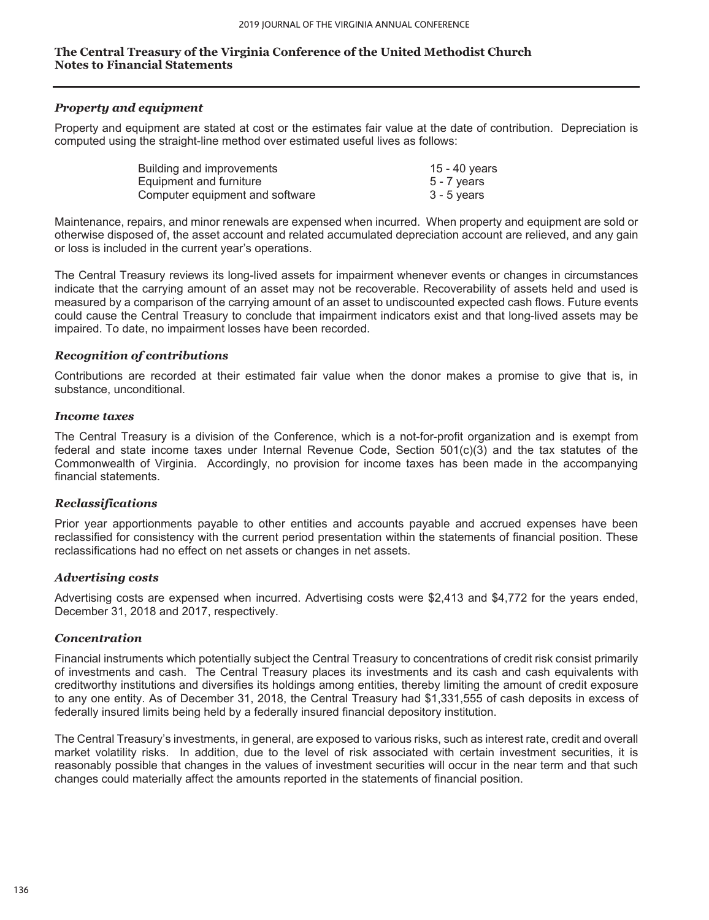### *Property and equipment*

Property and equipment are stated at cost or the estimates fair value at the date of contribution. Depreciation is computed using the straight-line method over estimated useful lives as follows:

| Building and improvements       | 15 - 40 vears |
|---------------------------------|---------------|
| Equipment and furniture         | 5 - 7 years   |
| Computer equipment and software | $3 - 5$ years |

Maintenance, repairs, and minor renewals are expensed when incurred. When property and equipment are sold or otherwise disposed of, the asset account and related accumulated depreciation account are relieved, and any gain or loss is included in the current year's operations.

The Central Treasury reviews its long-lived assets for impairment whenever events or changes in circumstances indicate that the carrying amount of an asset may not be recoverable. Recoverability of assets held and used is measured by a comparison of the carrying amount of an asset to undiscounted expected cash flows. Future events could cause the Central Treasury to conclude that impairment indicators exist and that long-lived assets may be impaired. To date, no impairment losses have been recorded.

### *Recognition of contributions*

Contributions are recorded at their estimated fair value when the donor makes a promise to give that is, in substance, unconditional.

#### *Income taxes*

The Central Treasury is a division of the Conference, which is a not-for-profit organization and is exempt from federal and state income taxes under Internal Revenue Code, Section 501(c)(3) and the tax statutes of the Commonwealth of Virginia. Accordingly, no provision for income taxes has been made in the accompanying financial statements.

### *Reclassifications*

Prior year apportionments payable to other entities and accounts payable and accrued expenses have been reclassified for consistency with the current period presentation within the statements of financial position. These reclassifications had no effect on net assets or changes in net assets.

### *Advertising costs*

Advertising costs are expensed when incurred. Advertising costs were \$2,413 and \$4,772 for the years ended, December 31, 2018 and 2017, respectively.

### *Concentration*

Financial instruments which potentially subject the Central Treasury to concentrations of credit risk consist primarily of investments and cash. The Central Treasury places its investments and its cash and cash equivalents with creditworthy institutions and diversifies its holdings among entities, thereby limiting the amount of credit exposure to any one entity. As of December 31, 2018, the Central Treasury had \$1,331,555 of cash deposits in excess of federally insured limits being held by a federally insured financial depository institution.

The Central Treasury's investments, in general, are exposed to various risks, such as interest rate, credit and overall market volatility risks. In addition, due to the level of risk associated with certain investment securities, it is reasonably possible that changes in the values of investment securities will occur in the near term and that such changes could materially affect the amounts reported in the statements of financial position.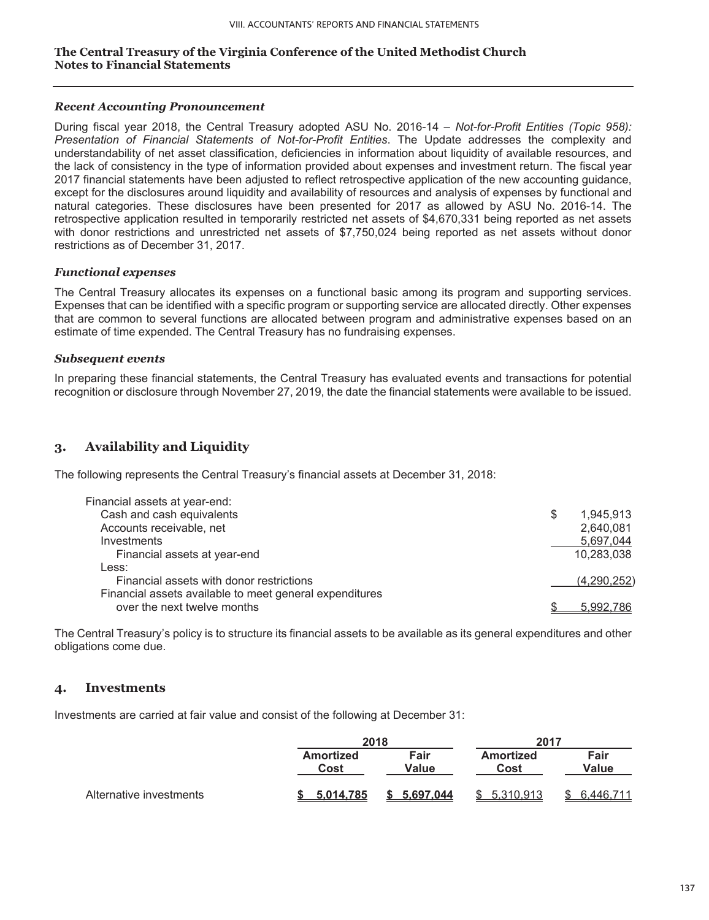### *Recent Accounting Pronouncement*

During fiscal year 2018, the Central Treasury adopted ASU No. 2016-14 – *Not-for-Profit Entities (Topic 958): Presentation of Financial Statements of Not-for-Profit Entities*. The Update addresses the complexity and understandability of net asset classification, deficiencies in information about liquidity of available resources, and the lack of consistency in the type of information provided about expenses and investment return. The fiscal year 2017 financial statements have been adjusted to reflect retrospective application of the new accounting guidance, except for the disclosures around liquidity and availability of resources and analysis of expenses by functional and natural categories. These disclosures have been presented for 2017 as allowed by ASU No. 2016-14. The retrospective application resulted in temporarily restricted net assets of \$4,670,331 being reported as net assets with donor restrictions and unrestricted net assets of \$7,750,024 being reported as net assets without donor restrictions as of December 31, 2017.

### *Functional expenses*

The Central Treasury allocates its expenses on a functional basic among its program and supporting services. Expenses that can be identified with a specific program or supporting service are allocated directly. Other expenses that are common to several functions are allocated between program and administrative expenses based on an estimate of time expended. The Central Treasury has no fundraising expenses.

### *Subsequent events*

In preparing these financial statements, the Central Treasury has evaluated events and transactions for potential recognition or disclosure through November 27, 2019, the date the financial statements were available to be issued.

### **3. Availability and Liquidity**

The following represents the Central Treasury's financial assets at December 31, 2018:

| Financial assets at year-end:                           |   |             |
|---------------------------------------------------------|---|-------------|
| Cash and cash equivalents                               | S | 1.945.913   |
| Accounts receivable, net                                |   | 2,640,081   |
| Investments                                             |   | 5,697,044   |
| Financial assets at year-end                            |   | 10,283,038  |
| Less:                                                   |   |             |
| Financial assets with donor restrictions                |   | (4,290,252) |
| Financial assets available to meet general expenditures |   |             |
| over the next twelve months                             |   | 5.992.786   |
|                                                         |   |             |

The Central Treasury's policy is to structure its financial assets to be available as its general expenditures and other obligations come due.

### **4. Investments**

Investments are carried at fair value and consist of the following at December 31:

|                         |                          | 2018<br>2017  |                          |               |  |
|-------------------------|--------------------------|---------------|--------------------------|---------------|--|
|                         | <b>Amortized</b><br>Cost | Fair<br>Value | <b>Amortized</b><br>Cost | Fair<br>Value |  |
| Alternative investments | 5.014.785                | 5.697.044     | 5.310.913                | 6.446.        |  |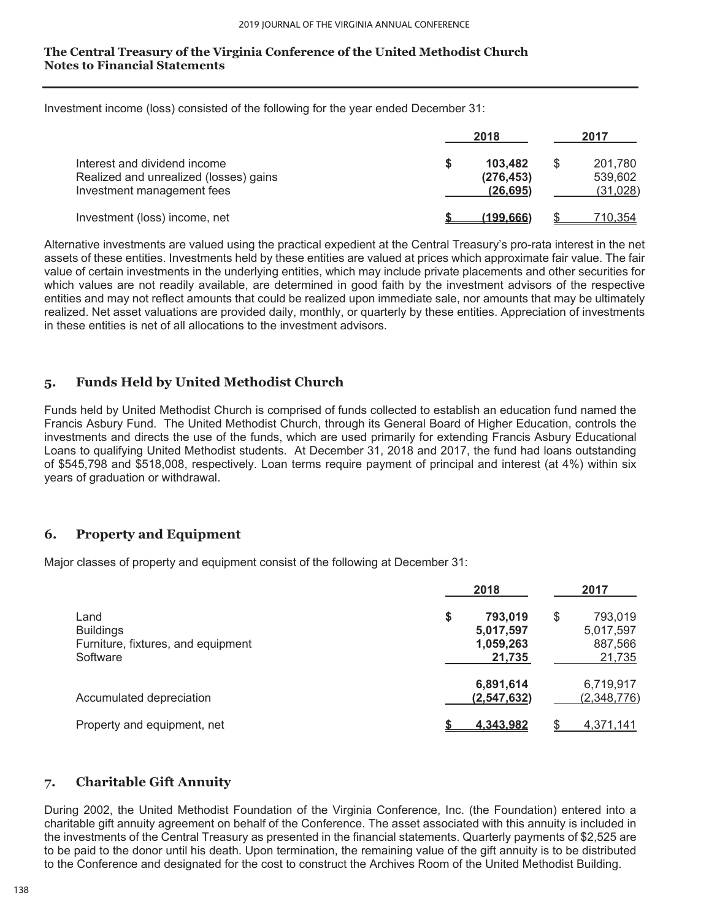Investment income (loss) consisted of the following for the year ended December 31:

|                                                                                                      |   | 2018                               |   | 2017                           |
|------------------------------------------------------------------------------------------------------|---|------------------------------------|---|--------------------------------|
| Interest and dividend income<br>Realized and unrealized (losses) gains<br>Investment management fees | S | 103,482<br>(276, 453)<br>(26, 695) | S | 201.780<br>539,602<br>(31,028) |
| Investment (loss) income, net                                                                        |   | (199.666)                          |   | 710,354                        |

Alternative investments are valued using the practical expedient at the Central Treasury's pro-rata interest in the net assets of these entities. Investments held by these entities are valued at prices which approximate fair value. The fair value of certain investments in the underlying entities, which may include private placements and other securities for which values are not readily available, are determined in good faith by the investment advisors of the respective entities and may not reflect amounts that could be realized upon immediate sale, nor amounts that may be ultimately realized. Net asset valuations are provided daily, monthly, or quarterly by these entities. Appreciation of investments in these entities is net of all allocations to the investment advisors.

### **5. Funds Held by United Methodist Church**

Funds held by United Methodist Church is comprised of funds collected to establish an education fund named the Francis Asbury Fund. The United Methodist Church, through its General Board of Higher Education, controls the investments and directs the use of the funds, which are used primarily for extending Francis Asbury Educational Loans to qualifying United Methodist students. At December 31, 2018 and 2017, the fund had loans outstanding of \$545,798 and \$518,008, respectively. Loan terms require payment of principal and interest (at 4%) within six years of graduation or withdrawal.

### **6. Property and Equipment**

Major classes of property and equipment consist of the following at December 31:

|                                                                            | 2018                                              | 2017                                            |
|----------------------------------------------------------------------------|---------------------------------------------------|-------------------------------------------------|
| Land<br><b>Buildings</b><br>Furniture, fixtures, and equipment<br>Software | \$<br>793,019<br>5,017,597<br>1,059,263<br>21,735 | \$<br>793,019<br>5,017,597<br>887,566<br>21,735 |
| Accumulated depreciation                                                   | 6,891,614<br>(2,547,632)                          | 6,719,917<br>(2,348,776)                        |
| Property and equipment, net                                                | <u>4.343.982</u>                                  | 4,371,141                                       |

### **7. Charitable Gift Annuity**

During 2002, the United Methodist Foundation of the Virginia Conference, Inc. (the Foundation) entered into a charitable gift annuity agreement on behalf of the Conference. The asset associated with this annuity is included in the investments of the Central Treasury as presented in the financial statements. Quarterly payments of \$2,525 are to be paid to the donor until his death. Upon termination, the remaining value of the gift annuity is to be distributed to the Conference and designated for the cost to construct the Archives Room of the United Methodist Building.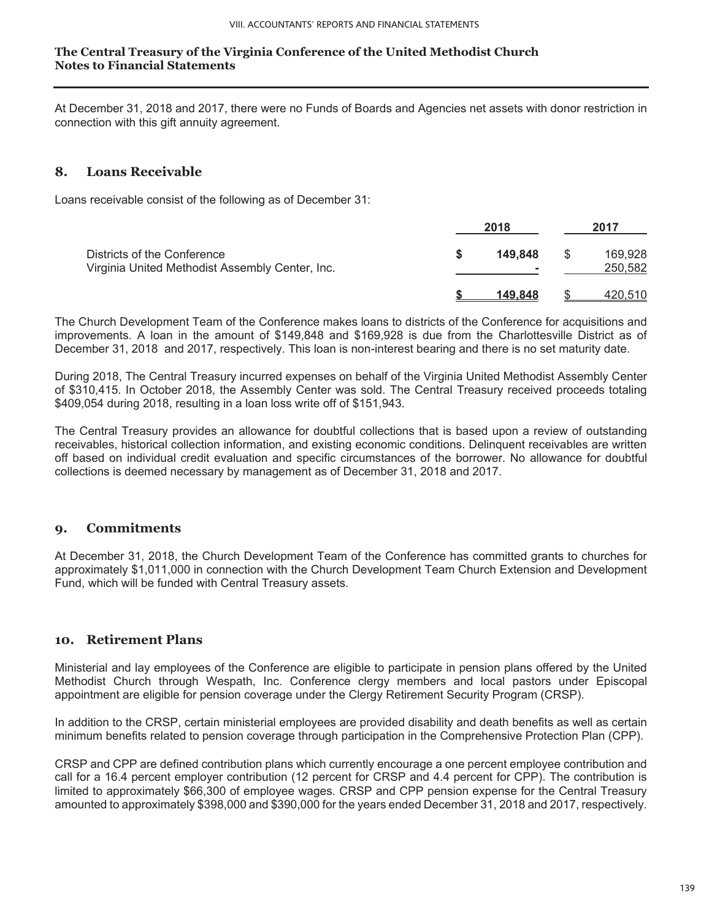At December 31, 2018 and 2017, there were no Funds of Boards and Agencies net assets with donor restriction in connection with this gift annuity agreement.

### **8. Loans Receivable**

Loans receivable consist of the following as of December 31:

|                                                                                | 2018         | 2017               |
|--------------------------------------------------------------------------------|--------------|--------------------|
| Districts of the Conference<br>Virginia United Methodist Assembly Center, Inc. | 149,848<br>۰ | 169,928<br>250,582 |
|                                                                                | 149.848      | 420.510            |

The Church Development Team of the Conference makes loans to districts of the Conference for acquisitions and improvements. A loan in the amount of \$149,848 and \$169,928 is due from the Charlottesville District as of December 31, 2018 and 2017, respectively. This loan is non-interest bearing and there is no set maturity date.

During 2018, The Central Treasury incurred expenses on behalf of the Virginia United Methodist Assembly Center of \$310,415. In October 2018, the Assembly Center was sold. The Central Treasury received proceeds totaling \$409,054 during 2018, resulting in a loan loss write off of \$151,943.

The Central Treasury provides an allowance for doubtful collections that is based upon a review of outstanding receivables, historical collection information, and existing economic conditions. Delinquent receivables are written off based on individual credit evaluation and specific circumstances of the borrower. No allowance for doubtful collections is deemed necessary by management as of December 31, 2018 and 2017.

### **9. Commitments**

At December 31, 2018, the Church Development Team of the Conference has committed grants to churches for approximately \$1,011,000 in connection with the Church Development Team Church Extension and Development Fund, which will be funded with Central Treasury assets.

### **10. Retirement Plans**

Ministerial and lay employees of the Conference are eligible to participate in pension plans offered by the United Methodist Church through Wespath, Inc. Conference clergy members and local pastors under Episcopal appointment are eligible for pension coverage under the Clergy Retirement Security Program (CRSP).

In addition to the CRSP, certain ministerial employees are provided disability and death benefits as well as certain minimum benefits related to pension coverage through participation in the Comprehensive Protection Plan (CPP).

CRSP and CPP are defined contribution plans which currently encourage a one percent employee contribution and call for a 16.4 percent employer contribution (12 percent for CRSP and 4.4 percent for CPP). The contribution is limited to approximately \$66,300 of employee wages. CRSP and CPP pension expense for the Central Treasury amounted to approximately \$398,000 and \$390,000 for the years ended December 31, 2018 and 2017, respectively.